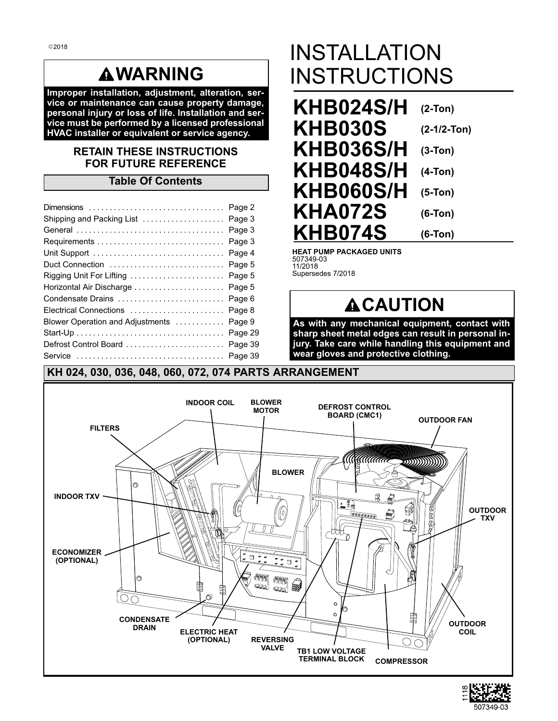# **WARNING**

**Improper installation, adjustment, alteration, service or maintenance can cause property damage, personal injury or loss of life. Installation and service must be performed by a licensed professional HVAC installer or equivalent or service agency.**

### **RETAIN THESE INSTRUCTIONS FOR FUTURE REFERENCE**

### **Table Of Contents**

| Shipping and Packing List  Page 3        |  |
|------------------------------------------|--|
|                                          |  |
|                                          |  |
|                                          |  |
| Duct Connection  Page 5                  |  |
| Rigging Unit For Lifting  Page 5         |  |
| Horizontal Air Discharge  Page 5         |  |
| Condensate Drains  Page 6                |  |
|                                          |  |
| Blower Operation and Adjustments  Page 9 |  |
|                                          |  |
| Defrost Control Board  Page 39           |  |
|                                          |  |

# INSTALLATION INSTRUCTIONS

**KHB024S/H (2-Ton) KHB030S KHB036S/H (3-Ton) KHB048S/H (4-Ton) KHB060S/H (5-Ton) KHA072S KHB074S (2-1/2-Ton) (6-Ton) (6-Ton)**

**HEAT PUMP PACKAGED UNITS** 507349-03 11/2018 Supersedes 7/2018

# **ACAUTION**

**As with any mechanical equipment, contact with sharp sheet metal edges can result in personal injury. Take care while handling this equipment and wear gloves and protective clothing.**



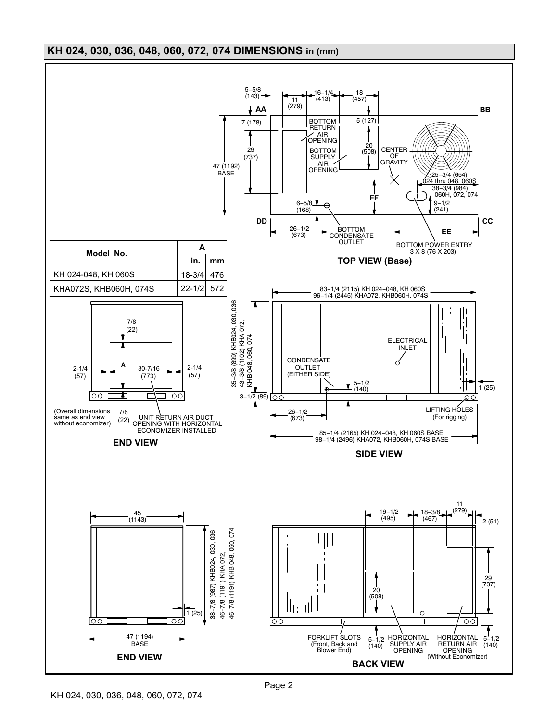# <span id="page-1-0"></span>**KH 024, 030, 036, 048, 060, 072, 074 DIMENSIONS in (mm)**

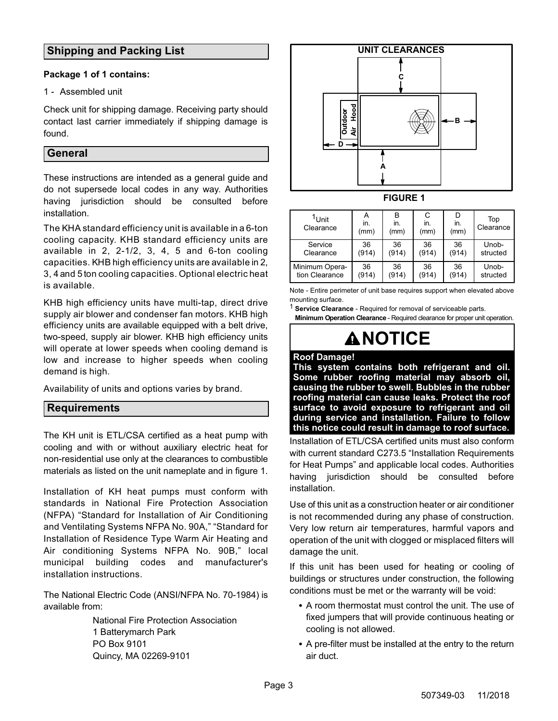# <span id="page-2-0"></span>**Shipping and Packing List**

#### **Package 1 of 1 contains:**

#### 1 - Assembled unit

Check unit for shipping damage. Receiving party should contact last carrier immediately if shipping damage is found.

### **General**

These instructions are intended as a general guide and do not supersede local codes in any way. Authorities having jurisdiction should be consulted before installation.

The KHA standard efficiency unit is available in a 6-ton cooling capacity. KHB standard efficiency units are available in 2, 2-1/2, 3, 4, 5 and 6-ton cooling capacities. KHB high efficiency units are available in 2, 3, 4 and 5 ton cooling capacities. Optional electric heat is available.

KHB high efficiency units have multi-tap, direct drive supply air blower and condenser fan motors. KHB high efficiency units are available equipped with a belt drive, two-speed, supply air blower. KHB high efficiency units will operate at lower speeds when cooling demand is low and increase to higher speeds when cooling demand is high.

Availability of units and options varies by brand.

#### **Requirements**

The KH unit is ETL/CSA certified as a heat pump with cooling and with or without auxiliary electric heat for non-residential use only at the clearances to combustible materials as listed on the unit nameplate and in figure 1.

Installation of KH heat pumps must conform with standards in National Fire Protection Association (NFPA) "Standard for Installation of Air Conditioning and Ventilating Systems NFPA No. 90A," "Standard for Installation of Residence Type Warm Air Heating and Air conditioning Systems NFPA No. 90B," local municipal building codes and manufacturer's installation instructions.

The National Electric Code (ANSI/NFPA No. 70-1984) is available from:

> National Fire Protection Association 1 Batterymarch Park PO Box 9101 Quincy, MA 02269-9101



**FIGURE 1**

| <sup>1</sup> Unit<br>Clearance | А<br>in.<br>(mm) | в<br>in.<br>(mm) | C<br>in.<br>(mm) | in.<br>(mm) | Top<br>Clearance |
|--------------------------------|------------------|------------------|------------------|-------------|------------------|
| Service                        | 36               | 36               | 36               | 36          | Unob-            |
| Clearance                      | (914)            | (914)            | (914)            | (914)       | structed         |
| Minimum Opera-                 | 36               | 36               | 36               | 36          | Unob-            |
| tion Clearance                 | (914)            | (914)            | (914)            | (914)       | structed         |

Note - Entire perimeter of unit base requires support when elevated above mounting surface.

1 **Service Clearance** - Required for removal of serviceable parts.

**Minimum Operation Clearance** - Required clearance for proper unit operation.

# **ANOTICE**

**Roof Damage!**

**This system contains both refrigerant and oil. Some rubber roofing material may absorb oil, causing the rubber to swell. Bubbles in the rubber roofing material can cause leaks. Protect the roof surface to avoid exposure to refrigerant and oil during service and installation. Failure to follow this notice could result in damage to roof surface.**

Installation of ETL/CSA certified units must also conform with current standard C273.5 "Installation Requirements for Heat Pumps" and applicable local codes. Authorities having jurisdiction should be consulted before installation.

Use of this unit as a construction heater or air conditioner is not recommended during any phase of construction. Very low return air temperatures, harmful vapors and operation of the unit with clogged or misplaced filters will damage the unit.

If this unit has been used for heating or cooling of buildings or structures under construction, the following conditions must be met or the warranty will be void:

- A room thermostat must control the unit. The use of fixed jumpers that will provide continuous heating or cooling is not allowed.
- A pre-filter must be installed at the entry to the return air duct.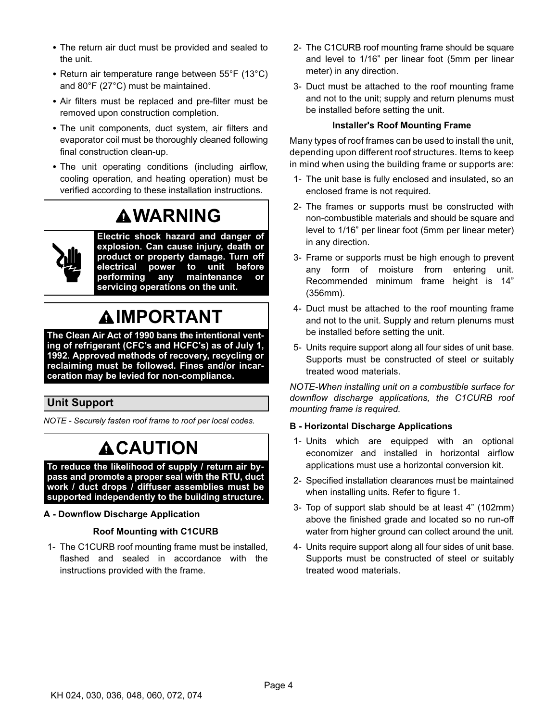- <span id="page-3-0"></span> The return air duct must be provided and sealed to the unit.
- Return air temperature range between 55°F (13°C) and 80°F (27°C) must be maintained.
- Air filters must be replaced and pre-filter must be removed upon construction completion.
- The unit components, duct system, air filters and evaporator coil must be thoroughly cleaned following final construction clean-up.
- The unit operating conditions (including airflow, cooling operation, and heating operation) must be verified according to these installation instructions.

# **WARNING**



**Electric shock hazard and danger of explosion. Can cause injury, death or product or property damage. Turn off electrical power to unit before performing any maintenance or servicing operations on the unit.**

# **IMPORTANT**

**The Clean Air Act of 1990 bans the intentional venting of refrigerant (CFC's and HCFC's) as of July 1, 1992. Approved methods of recovery, recycling or reclaiming must be followed. Fines and/or incarceration may be levied for non-compliance.**

# **Unit Support**

*NOTE - Securely fasten roof frame to roof per local codes.*

# **ACAUTION**

**To reduce the likelihood of supply / return air bypass and promote a proper seal with the RTU, duct work / duct drops / diffuser assemblies must be supported independently to the building structure.**

#### **A - Downflow Discharge Application**

#### **Roof Mounting with C1CURB**

1- The C1CURB roof mounting frame must be installed, flashed and sealed in accordance with the instructions provided with the frame.

- 2- The C1CURB roof mounting frame should be square and level to 1/16" per linear foot (5mm per linear meter) in any direction.
- 3- Duct must be attached to the roof mounting frame and not to the unit; supply and return plenums must be installed before setting the unit.

#### **Installer's Roof Mounting Frame**

Many types of roof frames can be used to install the unit, depending upon different roof structures. Items to keep in mind when using the building frame or supports are:

- 1- The unit base is fully enclosed and insulated, so an enclosed frame is not required.
- 2- The frames or supports must be constructed with non-combustible materials and should be square and level to 1/16" per linear foot (5mm per linear meter) in any direction.
- 3- Frame or supports must be high enough to prevent any form of moisture from entering unit. Recommended minimum frame height is 14" (356mm).
- 4- Duct must be attached to the roof mounting frame and not to the unit. Supply and return plenums must be installed before setting the unit.
- 5- Units require support along all four sides of unit base. Supports must be constructed of steel or suitably treated wood materials.

*NOTE-When installing unit on a combustible surface for downflow discharge applications, the C1CURB roof mounting frame is required.*

#### **B - Horizontal Discharge Applications**

- 1- Units which are equipped with an optional economizer and installed in horizontal airflow applications must use a horizontal conversion kit.
- 2- Specified installation clearances must be maintained when installing units. Refer to figure 1.
- 3- Top of support slab should be at least 4" (102mm) above the finished grade and located so no run-off water from higher ground can collect around the unit.
- 4- Units require support along all four sides of unit base. Supports must be constructed of steel or suitably treated wood materials.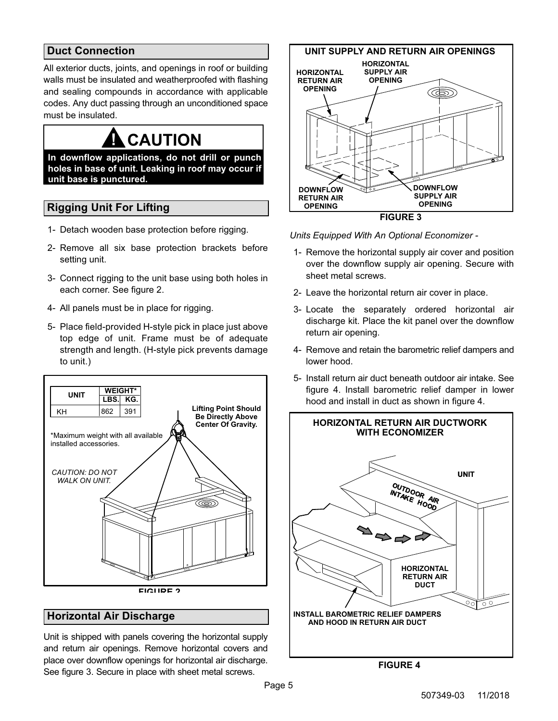# <span id="page-4-0"></span>**Duct Connection**

All exterior ducts, joints, and openings in roof or building walls must be insulated and weatherproofed with flashing and sealing compounds in accordance with applicable codes. Any duct passing through an unconditioned space must be insulated.

# **! CAUTION**

**In downflow applications, do not drill or punch holes in base of unit. Leaking in roof may occur if unit base is punctured.**

# **Rigging Unit For Lifting**

- 1- Detach wooden base protection before rigging.
- 2- Remove all six base protection brackets before setting unit.
- 3- Connect rigging to the unit base using both holes in each corner. See figure 2.
- 4- All panels must be in place for rigging.
- 5- Place field‐provided H‐style pick in place just above top edge of unit. Frame must be of adequate strength and length. (H-style pick prevents damage to unit.)



# **Horizontal Air Discharge**

Unit is shipped with panels covering the horizontal supply and return air openings. Remove horizontal covers and place over downflow openings for horizontal air discharge. See figure 3. Secure in place with sheet metal screws.



*Units Equipped With An Optional Economizer -*

- 1- Remove the horizontal supply air cover and position over the downflow supply air opening. Secure with sheet metal screws.
- 2- Leave the horizontal return air cover in place.
- 3- Locate the separately ordered horizontal air discharge kit. Place the kit panel over the downflow return air opening.
- 4- Remove and retain the barometric relief dampers and lower hood.
- 5- Install return air duct beneath outdoor air intake. See figure 4. Install barometric relief damper in lower hood and install in duct as shown in figure 4.



**FIGURE 4**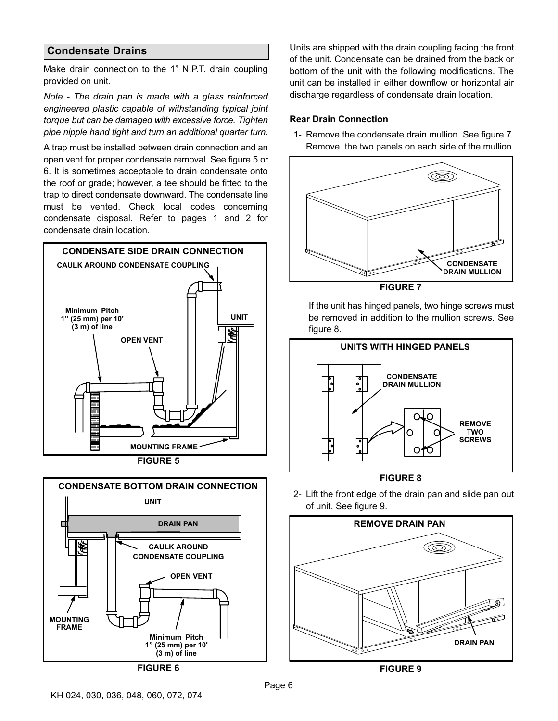#### <span id="page-5-0"></span>**Condensate Drains**

Make drain connection to the 1" N.P.T. drain coupling provided on unit.

*Note - The drain pan is made with a glass reinforced engineered plastic capable of withstanding typical joint torque but can be damaged with excessive force. Tighten pipe nipple hand tight and turn an additional quarter turn.*

A trap must be installed between drain connection and an open vent for proper condensate removal. See figure 5 or 6. It is sometimes acceptable to drain condensate onto the roof or grade; however, a tee should be fitted to the trap to direct condensate downward. The condensate line must be vented. Check local codes concerning condensate disposal. Refer to pages 1 and 2 for condensate drain location.





Units are shipped with the drain coupling facing the front of the unit. Condensate can be drained from the back or bottom of the unit with the following modifications. The unit can be installed in either downflow or horizontal air discharge regardless of condensate drain location.

#### **Rear Drain Connection**

1- Remove the condensate drain mullion. See figure 7. Remove the two panels on each side of the mullion.



If the unit has hinged panels, two hinge screws must be removed in addition to the mullion screws. See figure 8.





2- Lift the front edge of the drain pan and slide pan out of unit. See figure 9.



**FIGURE 9**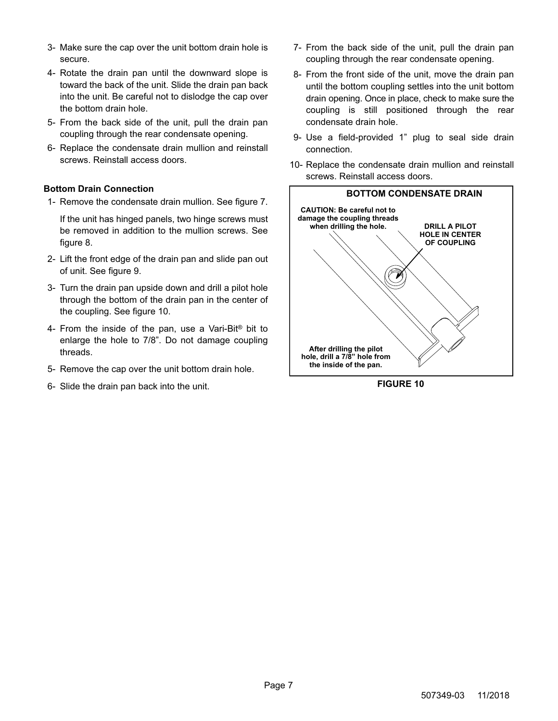- 3- Make sure the cap over the unit bottom drain hole is secure.
- 4- Rotate the drain pan until the downward slope is toward the back of the unit. Slide the drain pan back into the unit. Be careful not to dislodge the cap over the bottom drain hole.
- 5- From the back side of the unit, pull the drain pan coupling through the rear condensate opening.
- 6- Replace the condensate drain mullion and reinstall screws. Reinstall access doors.

#### **Bottom Drain Connection**

1- Remove the condensate drain mullion. See figure [7](#page-5-0).

If the unit has hinged panels, two hinge screws must be removed in addition to the mullion screws. See figure [8](#page-5-0).

- 2- Lift the front edge of the drain pan and slide pan out of unit. See figure [9](#page-5-0).
- 3- Turn the drain pan upside down and drill a pilot hole through the bottom of the drain pan in the center of the coupling. See figure 10.
- 4- From the inside of the pan, use a Vari-Bit® bit to enlarge the hole to 7/8". Do not damage coupling threads.
- 5- Remove the cap over the unit bottom drain hole.
- 6- Slide the drain pan back into the unit.
- 7- From the back side of the unit, pull the drain pan coupling through the rear condensate opening.
- 8- From the front side of the unit, move the drain pan until the bottom coupling settles into the unit bottom drain opening. Once in place, check to make sure the coupling is still positioned through the rear condensate drain hole.
- 9- Use a field-provided 1" plug to seal side drain connection.
- 10- Replace the condensate drain mullion and reinstall screws. Reinstall access doors.



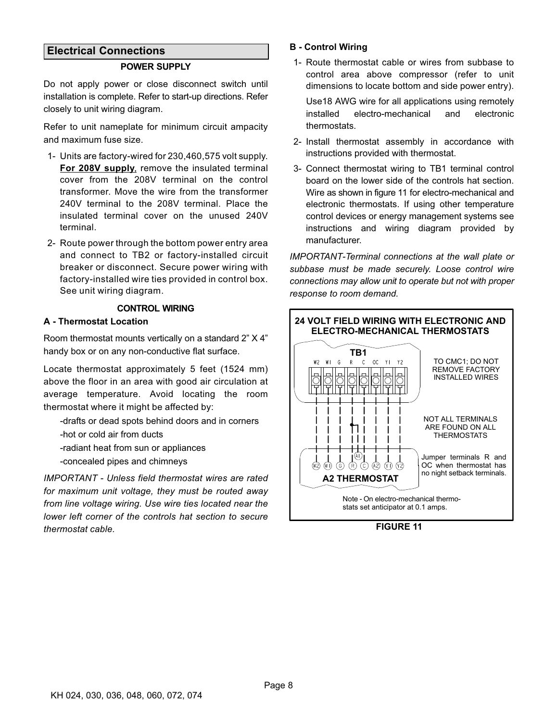#### <span id="page-7-0"></span>**Electrical Connections**

#### **POWER SUPPLY**

Do not apply power or close disconnect switch until installation is complete. Refer to start-up directions. Refer closely to unit wiring diagram.

Refer to unit nameplate for minimum circuit ampacity and maximum fuse size.

- 1- Units are factory-wired for 230,460,575 volt supply. **For 208V supply**, remove the insulated terminal cover from the 208V terminal on the control transformer. Move the wire from the transformer 240V terminal to the 208V terminal. Place the insulated terminal cover on the unused 240V terminal.
- 2- Route power through the bottom power entry area and connect to TB2 or factory-installed circuit breaker or disconnect. Secure power wiring with factory-installed wire ties provided in control box. See unit wiring diagram.

#### **CONTROL WIRING**

#### **A - Thermostat Location**

Room thermostat mounts vertically on a standard 2" X 4" handy box or on any non-conductive flat surface.

Locate thermostat approximately 5 feet (1524 mm) above the floor in an area with good air circulation at average temperature. Avoid locating the room thermostat where it might be affected by:

-drafts or dead spots behind doors and in corners -hot or cold air from ducts

-radiant heat from sun or appliances -concealed pipes and chimneys

*IMPORTANT - Unless field thermostat wires are rated for maximum unit voltage, they must be routed away from line voltage wiring. Use wire ties located near the lower left corner of the controls hat section to secure thermostat cable.*

#### **B - Control Wiring**

1- Route thermostat cable or wires from subbase to control area above compressor (refer to unit dimensions to locate bottom and side power entry).

Use18 AWG wire for all applications using remotely installed electro-mechanical and electronic thermostats.

- 2- Install thermostat assembly in accordance with instructions provided with thermostat.
- 3- Connect thermostat wiring to TB1 terminal control board on the lower side of the controls hat section. Wire as shown in figure 11 for electro-mechanical and electronic thermostats. If using other temperature control devices or energy management systems see instructions and wiring diagram provided by manufacturer.

*IMPORTANT-Terminal connections at the wall plate or subbase must be made securely. Loose control wire connections may allow unit to operate but not with proper response to room demand.*



**FIGURE 11**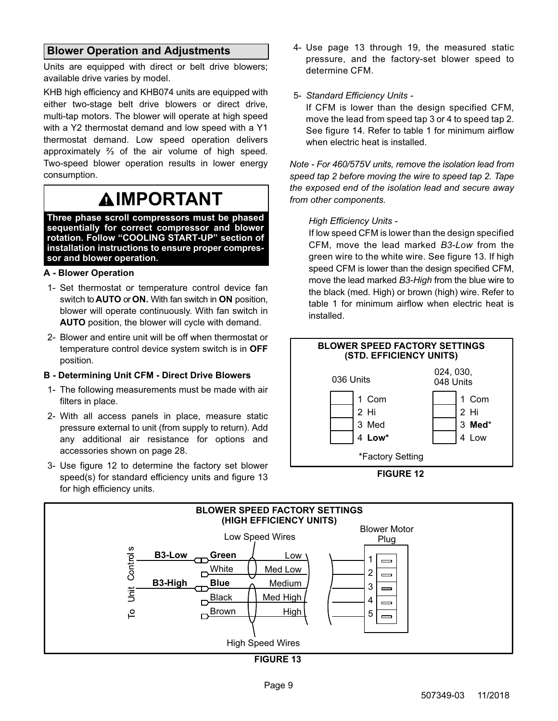### <span id="page-8-0"></span>**Blower Operation and Adjustments**

Units are equipped with direct or belt drive blowers; available drive varies by model.

KHB high efficiency and KHB074 units are equipped with either two-stage belt drive blowers or direct drive, multi-tap motors. The blower will operate at high speed with a Y2 thermostat demand and low speed with a Y1 thermostat demand. Low speed operation delivers approximately ⅔ of the air volume of high speed. Two-speed blower operation results in lower energy consumption.

# **IMPORTANT**

**Three phase scroll compressors must be phased sequentially for correct compressor and blower rotation. Follow "COOLING START-UP" section of installation instructions to ensure proper compressor and blower operation.**

#### **A - Blower Operation**

- 1- Set thermostat or temperature control device fan switch to **AUTO** or **ON.** With fan switch in **ON** position, blower will operate continuously. With fan switch in **AUTO** position, the blower will cycle with demand.
- 2- Blower and entire unit will be off when thermostat or temperature control device system switch is in **OFF** position.

#### **B - Determining Unit CFM - Direct Drive Blowers**

- 1- The following measurements must be made with air filters in place.
- 2- With all access panels in place, measure static pressure external to unit (from supply to return). Add any additional air resistance for options and accessories shown on page 28.
- 3- Use figure 12 to determine the factory set blower speed(s) for standard efficiency units and figure 13 for high efficiency units.

4- Use page 13 through 19, the measured static pressure, and the factory-set blower speed to determine CFM.

#### 5- *Standard Efficiency Units -*

If CFM is lower than the design specified CFM, move the lead from speed tap 3 or 4 to speed tap 2. See figure [14.](#page-9-0) Refer to table [1](#page-9-0) for minimum airflow when electric heat is installed.

*Note - For 460/575V units, remove the isolation lead from speed tap 2 before moving the wire to speed tap 2. Tape the exposed end of the isolation lead and secure away from other components.*

#### *High Efficiency Units -*

If low speed CFM is lower than the design specified CFM, move the lead marked *B3-Low* from the green wire to the white wire. See figure 13. If high speed CFM is lower than the design specified CFM, move the lead marked *B3-High* from the blue wire to the black (med. High) or brown (high) wire. Refer to table [1](#page-9-0) for minimum airflow when electric heat is installed.





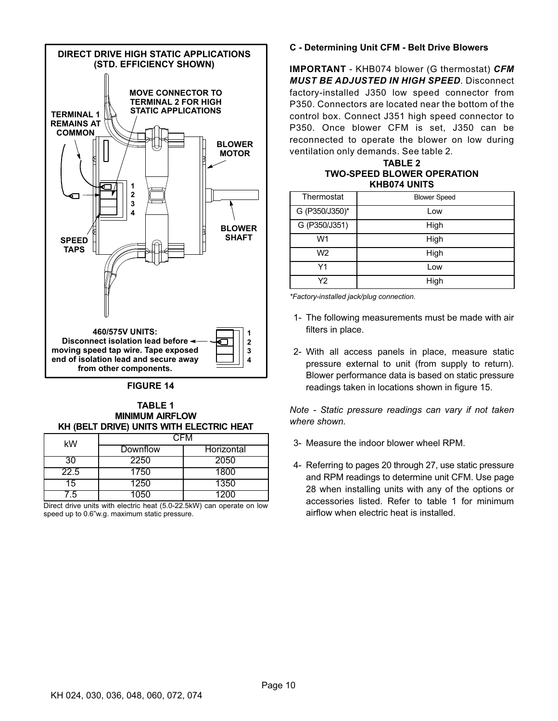<span id="page-9-0"></span>

#### **FIGURE 14**

**TABLE 1 MINIMUM AIRFLOW KH (BELT DRIVE) UNITS WITH ELECTRIC HEAT**

| kW   | CFM      |                   |  |  |
|------|----------|-------------------|--|--|
|      | Downflow | <b>Horizontal</b> |  |  |
| 30   | 2250     | 2050              |  |  |
| 22.5 | 1750     | 1800              |  |  |
| 5    | 1250     | 1350              |  |  |
| ั 5  | 1050     | 200               |  |  |

Direct drive units with electric heat (5.0-22.5kW) can operate on low speed up to 0.6"w.g. maximum static pressure.

#### **C - Determining Unit CFM - Belt Drive Blowers**

**IMPORTANT** - KHB074 blower (G thermostat) *CFM MUST BE ADJUSTED IN HIGH SPEED*. Disconnect factory-installed J350 low speed connector from P350. Connectors are located near the bottom of the control box. Connect J351 high speed connector to P350. Once blower CFM is set, J350 can be reconnected to operate the blower on low during ventilation only demands. See table 2.

#### **TABLE 2 TWO-SPEED BLOWER OPERATION KHB074 UNITS**

| Thermostat     | <b>Blower Speed</b> |
|----------------|---------------------|
| G (P350/J350)* | Low                 |
| G (P350/J351)  | High                |
| W1             | High                |
| W <sub>2</sub> | High                |
| Y1             | Low                 |
| Y2             | High                |

*\*Factory-installed jack/plug connection.*

- 1- The following measurements must be made with air filters in place.
- 2- With all access panels in place, measure static pressure external to unit (from supply to return). Blower performance data is based on static pressure readings taken in locations shown in figure [15.](#page-10-0)

*Note - Static pressure readings can vary if not taken where shown.*

- 3- Measure the indoor blower wheel RPM.
- 4- Referring to pages 20 through 27, use static pressure and RPM readings to determine unit CFM. Use page 28 when installing units with any of the options or accessories listed. Refer to table 1 for minimum airflow when electric heat is installed.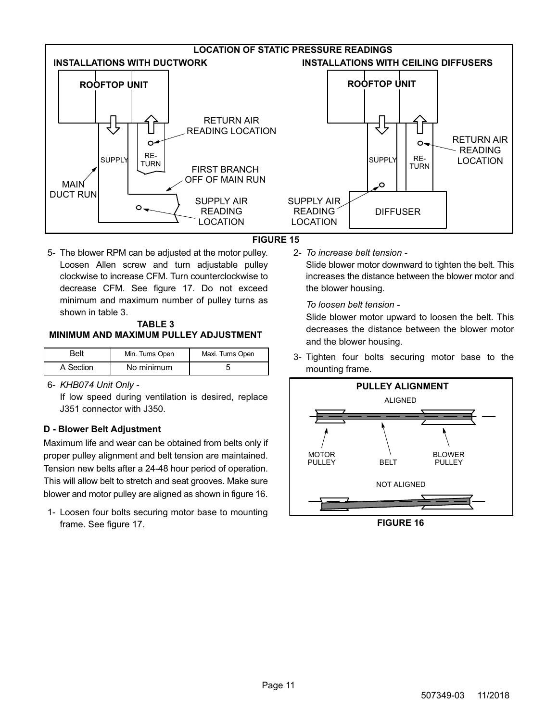<span id="page-10-0"></span>

#### **FIGURE 15**

5- The blower RPM can be adjusted at the motor pulley. Loosen Allen screw and turn adjustable pulley clockwise to increase CFM. Turn counterclockwise to decrease CFM. See figure [17](#page-11-0). Do not exceed minimum and maximum number of pulley turns as shown in table 3.

#### **TABLE 3 MINIMUM AND MAXIMUM PULLEY ADJUSTMENT**

| Belt      | Min. Turns Open | Maxi. Turns Open |
|-----------|-----------------|------------------|
| A Section | No minimum      |                  |

6- *KHB074 Unit Only -*

If low speed during ventilation is desired, replace J351 connector with J350.

#### **D - Blower Belt Adjustment**

Maximum life and wear can be obtained from belts only if proper pulley alignment and belt tension are maintained. Tension new belts after a 24-48 hour period of operation. This will allow belt to stretch and seat grooves. Make sure blower and motor pulley are aligned as shown in figure 16.

1- Loosen four bolts securing motor base to mounting frame. See figure [17](#page-11-0).

2- *To increase belt tension -* Slide blower motor downward to tighten the belt. This increases the distance between the blower motor and the blower housing.

*To loosen belt tension -*

Slide blower motor upward to loosen the belt. This decreases the distance between the blower motor and the blower housing.

3- Tighten four bolts securing motor base to the mounting frame.



**FIGURE 16**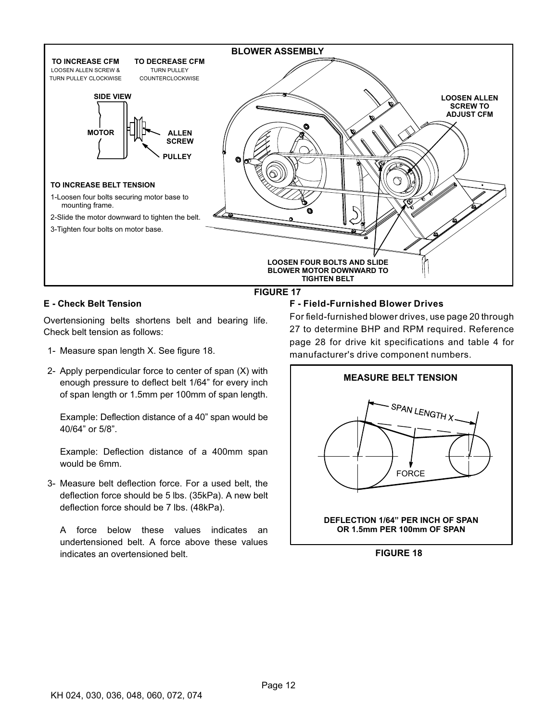<span id="page-11-0"></span>

#### **E - Check Belt Tension**

Overtensioning belts shortens belt and bearing life. Check belt tension as follows:

- 1- Measure span length X. See figure 18.
- 2- Apply perpendicular force to center of span (X) with enough pressure to deflect belt 1/64" for every inch of span length or 1.5mm per 100mm of span length.

Example: Deflection distance of a 40" span would be 40/64" or 5/8".

Example: Deflection distance of a 400mm span would be 6mm.

3- Measure belt deflection force. For a used belt, the deflection force should be 5 lbs. (35kPa). A new belt deflection force should be 7 lbs. (48kPa).

A force below these values indicates an undertensioned belt. A force above these values indicates an overtensioned belt.

#### **F - Field-Furnished Blower Drives**

For field-furnished blower drives, use page 20 through 27 to determine BHP and RPM required. Reference page 28 for drive kit specifications and table [4](#page-28-0) for manufacturer's drive component numbers.



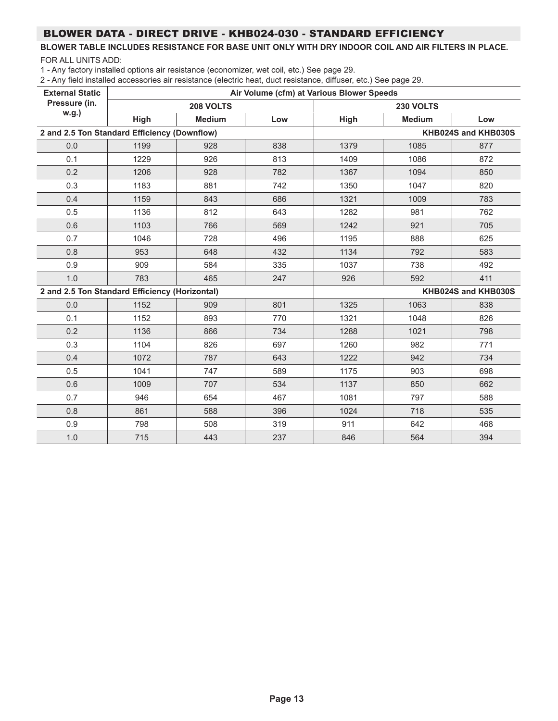# BLOWER DATA - DIRECT DRIVE - KHB024-030 - STANDARD EFFICIENCY

#### **BLOWER TABLE INCLUDES RESISTANCE FOR BASE UNIT ONLY WITH DRY INDOOR COIL AND AIR FILTERS IN PLACE.** FOR ALL UNITS ADD:

1 - Any factory installed options air resistance (economizer, wet coil, etc.) See page 29.

| <b>External Static</b>                         | Air Volume (cfm) at Various Blower Speeds |               |     |      |               |                     |  |  |  |
|------------------------------------------------|-------------------------------------------|---------------|-----|------|---------------|---------------------|--|--|--|
| Pressure (in.                                  |                                           | 208 VOLTS     |     |      |               |                     |  |  |  |
| w.g.)                                          | High                                      | <b>Medium</b> | Low | High | <b>Medium</b> | Low                 |  |  |  |
| 2 and 2.5 Ton Standard Efficiency (Downflow)   |                                           |               |     |      |               | KHB024S and KHB030S |  |  |  |
| 0.0                                            | 1199                                      | 928           | 838 | 1379 | 1085          | 877                 |  |  |  |
| 0.1                                            | 1229                                      | 926           | 813 | 1409 | 1086          | 872                 |  |  |  |
| 0.2                                            | 1206                                      | 928           | 782 | 1367 | 1094          | 850                 |  |  |  |
| 0.3                                            | 1183                                      | 881           | 742 | 1350 | 1047          | 820                 |  |  |  |
| 0.4                                            | 1159                                      | 843           | 686 | 1321 | 1009          | 783                 |  |  |  |
| 0.5                                            | 1136                                      | 812           | 643 | 1282 | 981           | 762                 |  |  |  |
| 0.6                                            | 1103                                      | 766           | 569 | 1242 | 921           | 705                 |  |  |  |
| 0.7                                            | 1046                                      | 728           | 496 | 1195 | 888           | 625                 |  |  |  |
| 0.8                                            | 953                                       | 648           | 432 | 1134 | 792           | 583                 |  |  |  |
| 0.9                                            | 909                                       | 584           | 335 | 1037 | 738           | 492                 |  |  |  |
| 1.0                                            | 783                                       | 465           | 247 | 926  | 592           | 411                 |  |  |  |
| 2 and 2.5 Ton Standard Efficiency (Horizontal) |                                           |               |     |      |               | KHB024S and KHB030S |  |  |  |
| 0.0                                            | 1152                                      | 909           | 801 | 1325 | 1063          | 838                 |  |  |  |
| 0.1                                            | 1152                                      | 893           | 770 | 1321 | 1048          | 826                 |  |  |  |
| 0.2                                            | 1136                                      | 866           | 734 | 1288 | 1021          | 798                 |  |  |  |
| 0.3                                            | 1104                                      | 826           | 697 | 1260 | 982           | 771                 |  |  |  |
| 0.4                                            | 1072                                      | 787           | 643 | 1222 | 942           | 734                 |  |  |  |
| 0.5                                            | 1041                                      | 747           | 589 | 1175 | 903           | 698                 |  |  |  |
| 0.6                                            | 1009                                      | 707           | 534 | 1137 | 850           | 662                 |  |  |  |
| 0.7                                            | 946                                       | 654           | 467 | 1081 | 797           | 588                 |  |  |  |
| 0.8                                            | 861                                       | 588           | 396 | 1024 | 718           | 535                 |  |  |  |
| 0.9                                            | 798                                       | 508           | 319 | 911  | 642           | 468                 |  |  |  |
| 1.0                                            | 715                                       | 443           | 237 | 846  | 564           | 394                 |  |  |  |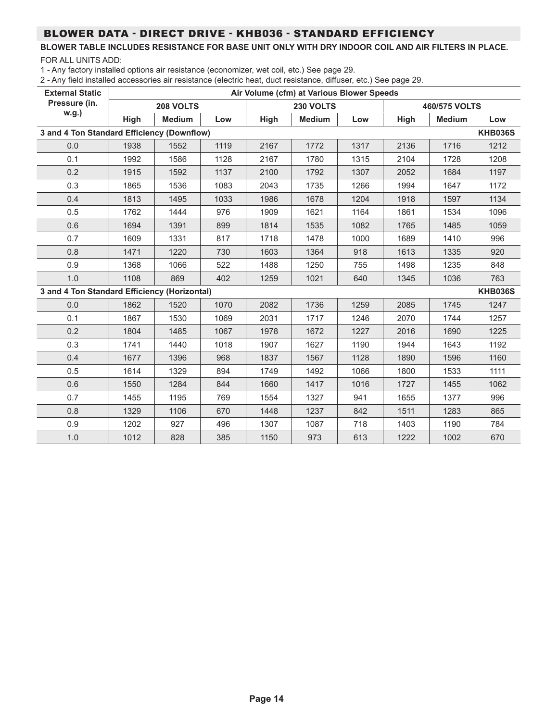# BLOWER DATA - DIRECT DRIVE - KHB036 - STANDARD EFFICIENCY

#### **BLOWER TABLE INCLUDES RESISTANCE FOR BASE UNIT ONLY WITH DRY INDOOR COIL AND AIR FILTERS IN PLACE.** FOR ALL UNITS ADD:

1 - Any factory installed options air resistance (economizer, wet coil, etc.) See page 29.

| <b>External Static</b>                       |      | Air Volume (cfm) at Various Blower Speeds |      |      |               |      |      |               |                |  |
|----------------------------------------------|------|-------------------------------------------|------|------|---------------|------|------|---------------|----------------|--|
| Pressure (in.                                |      | 208 VOLTS                                 |      |      | 230 VOLTS     |      |      | 460/575 VOLTS |                |  |
| w.g.)                                        | High | <b>Medium</b>                             | Low  | High | <b>Medium</b> | Low  | High | <b>Medium</b> | Low            |  |
| 3 and 4 Ton Standard Efficiency (Downflow)   |      |                                           |      |      |               |      |      |               | <b>KHB036S</b> |  |
| 0.0                                          | 1938 | 1552                                      | 1119 | 2167 | 1772          | 1317 | 2136 | 1716          | 1212           |  |
| 0.1                                          | 1992 | 1586                                      | 1128 | 2167 | 1780          | 1315 | 2104 | 1728          | 1208           |  |
| 0.2                                          | 1915 | 1592                                      | 1137 | 2100 | 1792          | 1307 | 2052 | 1684          | 1197           |  |
| 0.3                                          | 1865 | 1536                                      | 1083 | 2043 | 1735          | 1266 | 1994 | 1647          | 1172           |  |
| 0.4                                          | 1813 | 1495                                      | 1033 | 1986 | 1678          | 1204 | 1918 | 1597          | 1134           |  |
| 0.5                                          | 1762 | 1444                                      | 976  | 1909 | 1621          | 1164 | 1861 | 1534          | 1096           |  |
| 0.6                                          | 1694 | 1391                                      | 899  | 1814 | 1535          | 1082 | 1765 | 1485          | 1059           |  |
| 0.7                                          | 1609 | 1331                                      | 817  | 1718 | 1478          | 1000 | 1689 | 1410          | 996            |  |
| 0.8                                          | 1471 | 1220                                      | 730  | 1603 | 1364          | 918  | 1613 | 1335          | 920            |  |
| 0.9                                          | 1368 | 1066                                      | 522  | 1488 | 1250          | 755  | 1498 | 1235          | 848            |  |
| 1.0                                          | 1108 | 869                                       | 402  | 1259 | 1021          | 640  | 1345 | 1036          | 763            |  |
| 3 and 4 Ton Standard Efficiency (Horizontal) |      |                                           |      |      |               |      |      |               | <b>KHB036S</b> |  |
| 0.0                                          | 1862 | 1520                                      | 1070 | 2082 | 1736          | 1259 | 2085 | 1745          | 1247           |  |
| 0.1                                          | 1867 | 1530                                      | 1069 | 2031 | 1717          | 1246 | 2070 | 1744          | 1257           |  |
| 0.2                                          | 1804 | 1485                                      | 1067 | 1978 | 1672          | 1227 | 2016 | 1690          | 1225           |  |
| 0.3                                          | 1741 | 1440                                      | 1018 | 1907 | 1627          | 1190 | 1944 | 1643          | 1192           |  |
| 0.4                                          | 1677 | 1396                                      | 968  | 1837 | 1567          | 1128 | 1890 | 1596          | 1160           |  |
| 0.5                                          | 1614 | 1329                                      | 894  | 1749 | 1492          | 1066 | 1800 | 1533          | 1111           |  |
| 0.6                                          | 1550 | 1284                                      | 844  | 1660 | 1417          | 1016 | 1727 | 1455          | 1062           |  |
| 0.7                                          | 1455 | 1195                                      | 769  | 1554 | 1327          | 941  | 1655 | 1377          | 996            |  |
| 0.8                                          | 1329 | 1106                                      | 670  | 1448 | 1237          | 842  | 1511 | 1283          | 865            |  |
| 0.9                                          | 1202 | 927                                       | 496  | 1307 | 1087          | 718  | 1403 | 1190          | 784            |  |
| 1.0                                          | 1012 | 828                                       | 385  | 1150 | 973           | 613  | 1222 | 1002          | 670            |  |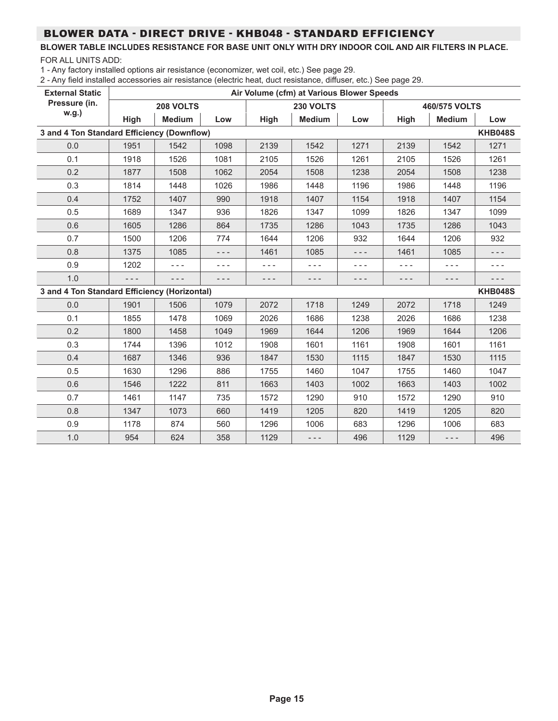# BLOWER DATA - DIRECT DRIVE - KHB048 - STANDARD EFFICIENCY

#### **BLOWER TABLE INCLUDES RESISTANCE FOR BASE UNIT ONLY WITH DRY INDOOR COIL AND AIR FILTERS IN PLACE.** FOR ALL UNITS ADD:

1 - Any factory installed options air resistance (economizer, wet coil, etc.) See page 29.

| <b>External Static</b>                       | Air Volume (cfm) at Various Blower Speeds |               |      |         |               |       |         |               |                |  |
|----------------------------------------------|-------------------------------------------|---------------|------|---------|---------------|-------|---------|---------------|----------------|--|
| Pressure (in.                                |                                           | 208 VOLTS     |      |         | 230 VOLTS     |       |         | 460/575 VOLTS |                |  |
| w.g.)                                        | High                                      | <b>Medium</b> | Low  | High    | <b>Medium</b> | Low   | High    | <b>Medium</b> | Low            |  |
| 3 and 4 Ton Standard Efficiency (Downflow)   |                                           |               |      |         |               |       |         |               | <b>KHB048S</b> |  |
| 0.0                                          | 1951                                      | 1542          | 1098 | 2139    | 1542          | 1271  | 2139    | 1542          | 1271           |  |
| 0.1                                          | 1918                                      | 1526          | 1081 | 2105    | 1526          | 1261  | 2105    | 1526          | 1261           |  |
| 0.2                                          | 1877                                      | 1508          | 1062 | 2054    | 1508          | 1238  | 2054    | 1508          | 1238           |  |
| 0.3                                          | 1814                                      | 1448          | 1026 | 1986    | 1448          | 1196  | 1986    | 1448          | 1196           |  |
| 0.4                                          | 1752                                      | 1407          | 990  | 1918    | 1407          | 1154  | 1918    | 1407          | 1154           |  |
| 0.5                                          | 1689                                      | 1347          | 936  | 1826    | 1347          | 1099  | 1826    | 1347          | 1099           |  |
| 0.6                                          | 1605                                      | 1286          | 864  | 1735    | 1286          | 1043  | 1735    | 1286          | 1043           |  |
| 0.7                                          | 1500                                      | 1206          | 774  | 1644    | 1206          | 932   | 1644    | 1206          | 932            |  |
| 0.8                                          | 1375                                      | 1085          | ---  | 1461    | 1085          | - - - | 1461    | 1085          | - - -          |  |
| 0.9                                          | 1202                                      | $- - -$       | ---  | $- - -$ | $- - -$       | ---   | $- - -$ | $- - -$       | - - -          |  |
| 1.0                                          | - - -                                     | ---           | ---  | - - -   | $- - -$       | ---   | - - -   | - - -         | ---            |  |
| 3 and 4 Ton Standard Efficiency (Horizontal) |                                           |               |      |         |               |       |         |               | <b>KHB048S</b> |  |
| 0.0                                          | 1901                                      | 1506          | 1079 | 2072    | 1718          | 1249  | 2072    | 1718          | 1249           |  |
| 0.1                                          | 1855                                      | 1478          | 1069 | 2026    | 1686          | 1238  | 2026    | 1686          | 1238           |  |
| 0.2                                          | 1800                                      | 1458          | 1049 | 1969    | 1644          | 1206  | 1969    | 1644          | 1206           |  |
| 0.3                                          | 1744                                      | 1396          | 1012 | 1908    | 1601          | 1161  | 1908    | 1601          | 1161           |  |
| 0.4                                          | 1687                                      | 1346          | 936  | 1847    | 1530          | 1115  | 1847    | 1530          | 1115           |  |
| 0.5                                          | 1630                                      | 1296          | 886  | 1755    | 1460          | 1047  | 1755    | 1460          | 1047           |  |
| 0.6                                          | 1546                                      | 1222          | 811  | 1663    | 1403          | 1002  | 1663    | 1403          | 1002           |  |
| 0.7                                          | 1461                                      | 1147          | 735  | 1572    | 1290          | 910   | 1572    | 1290          | 910            |  |
| 0.8                                          | 1347                                      | 1073          | 660  | 1419    | 1205          | 820   | 1419    | 1205          | 820            |  |
| 0.9                                          | 1178                                      | 874           | 560  | 1296    | 1006          | 683   | 1296    | 1006          | 683            |  |
| 1.0                                          | 954                                       | 624           | 358  | 1129    | $- - -$       | 496   | 1129    | $- - -$       | 496            |  |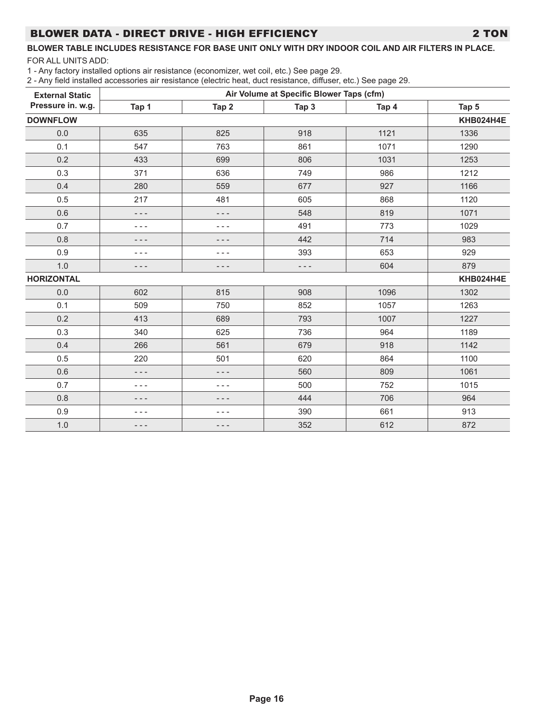# BLOWER DATA - DIRECT DRIVE - HIGH EFFICIENCY 2 TON

#### **BLOWER TABLE INCLUDES RESISTANCE FOR BASE UNIT ONLY WITH DRY INDOOR COIL AND AIR FILTERS IN PLACE.** FOR ALL UNITS ADD:

1 - Any factory installed options air resistance (economizer, wet coil, etc.) See page 29.

| <b>External Static</b> | Air Volume at Specific Blower Taps (cfm) |       |         |       |           |  |  |  |  |
|------------------------|------------------------------------------|-------|---------|-------|-----------|--|--|--|--|
| Pressure in. w.g.      | Tap 1                                    | Tap 2 | Tap 3   | Tap 4 | Tap 5     |  |  |  |  |
| <b>DOWNFLOW</b>        | KHB024H4E                                |       |         |       |           |  |  |  |  |
| 0.0                    | 635                                      | 825   | 918     | 1121  | 1336      |  |  |  |  |
| 0.1                    | 547                                      | 763   | 861     | 1071  | 1290      |  |  |  |  |
| 0.2                    | 433                                      | 699   | 806     | 1031  | 1253      |  |  |  |  |
| 0.3                    | 371                                      | 636   | 749     | 986   | 1212      |  |  |  |  |
| 0.4                    | 280                                      | 559   | 677     | 927   | 1166      |  |  |  |  |
| 0.5                    | 217                                      | 481   | 605     | 868   | 1120      |  |  |  |  |
| 0.6                    | - - -                                    | - - - | 548     | 819   | 1071      |  |  |  |  |
| 0.7                    | ---                                      | - - - | 491     | 773   | 1029      |  |  |  |  |
| 0.8                    | - - -                                    | - - - | 442     | 714   | 983       |  |  |  |  |
| 0.9                    | $- - -$                                  | - - - | 393     | 653   | 929       |  |  |  |  |
| 1.0                    | - - -                                    | - - - | $- - -$ | 604   | 879       |  |  |  |  |
| <b>HORIZONTAL</b>      |                                          |       |         |       | KHB024H4E |  |  |  |  |
| 0.0                    | 602                                      | 815   | 908     | 1096  | 1302      |  |  |  |  |
| 0.1                    | 509                                      | 750   | 852     | 1057  | 1263      |  |  |  |  |
| 0.2                    | 413                                      | 689   | 793     | 1007  | 1227      |  |  |  |  |
| 0.3                    | 340                                      | 625   | 736     | 964   | 1189      |  |  |  |  |
| 0.4                    | 266                                      | 561   | 679     | 918   | 1142      |  |  |  |  |
| 0.5                    | 220                                      | 501   | 620     | 864   | 1100      |  |  |  |  |
| 0.6                    | - - -                                    | - - - | 560     | 809   | 1061      |  |  |  |  |
| 0.7                    | - - -                                    | - - - | 500     | 752   | 1015      |  |  |  |  |
| 0.8                    | - - -                                    |       | 444     | 706   | 964       |  |  |  |  |
| 0.9                    | - - -                                    | - - - | 390     | 661   | 913       |  |  |  |  |
| 1.0                    | - - -                                    | - - - | 352     | 612   | 872       |  |  |  |  |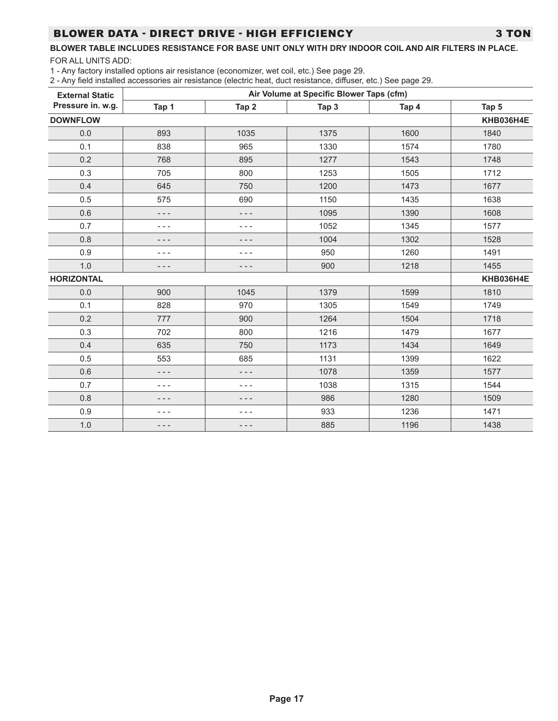# BLOWER DATA - DIRECT DRIVE - HIGH EFFICIENCY 3 TON

# **BLOWER TABLE INCLUDES RESISTANCE FOR BASE UNIT ONLY WITH DRY INDOOR COIL AND AIR FILTERS IN PLACE.**

FOR ALL UNITS ADD:

1 - Any factory installed options air resistance (economizer, wet coil, etc.) See page 29.

| <b>External Static</b> | Air Volume at Specific Blower Taps (cfm) |         |       |       |           |  |  |  |  |
|------------------------|------------------------------------------|---------|-------|-------|-----------|--|--|--|--|
| Pressure in. w.g.      | Tap 1                                    | Tap 2   | Tap 3 | Tap 4 | Tap 5     |  |  |  |  |
| <b>DOWNFLOW</b>        | <b>KHB036H4E</b>                         |         |       |       |           |  |  |  |  |
| 0.0                    | 893                                      | 1035    | 1375  | 1600  | 1840      |  |  |  |  |
| 0.1                    | 838                                      | 965     | 1330  | 1574  | 1780      |  |  |  |  |
| 0.2                    | 768                                      | 895     | 1277  | 1543  | 1748      |  |  |  |  |
| 0.3                    | 705                                      | 800     | 1253  | 1505  | 1712      |  |  |  |  |
| 0.4                    | 645                                      | 750     | 1200  | 1473  | 1677      |  |  |  |  |
| 0.5                    | 575                                      | 690     | 1150  | 1435  | 1638      |  |  |  |  |
| 0.6                    | - - -                                    | $- - -$ | 1095  | 1390  | 1608      |  |  |  |  |
| 0.7                    | - - -                                    | - - -   | 1052  | 1345  | 1577      |  |  |  |  |
| 0.8                    | - - -                                    | - - -   | 1004  | 1302  | 1528      |  |  |  |  |
| 0.9                    | - - -                                    | - - -   | 950   | 1260  | 1491      |  |  |  |  |
| 1.0                    | - - -                                    | - - -   | 900   | 1218  | 1455      |  |  |  |  |
| <b>HORIZONTAL</b>      |                                          |         |       |       | KHB036H4E |  |  |  |  |
| 0.0                    | 900                                      | 1045    | 1379  | 1599  | 1810      |  |  |  |  |
| 0.1                    | 828                                      | 970     | 1305  | 1549  | 1749      |  |  |  |  |
| 0.2                    | 777                                      | 900     | 1264  | 1504  | 1718      |  |  |  |  |
| 0.3                    | 702                                      | 800     | 1216  | 1479  | 1677      |  |  |  |  |
| 0.4                    | 635                                      | 750     | 1173  | 1434  | 1649      |  |  |  |  |
| 0.5                    | 553                                      | 685     | 1131  | 1399  | 1622      |  |  |  |  |
| 0.6                    | - - -                                    | ---     | 1078  | 1359  | 1577      |  |  |  |  |
| 0.7                    | - - -                                    | - - -   | 1038  | 1315  | 1544      |  |  |  |  |
| 0.8                    | - - -                                    |         | 986   | 1280  | 1509      |  |  |  |  |
| 0.9                    | - - -                                    | - - -   | 933   | 1236  | 1471      |  |  |  |  |
| 1.0                    | - - -                                    | ---     | 885   | 1196  | 1438      |  |  |  |  |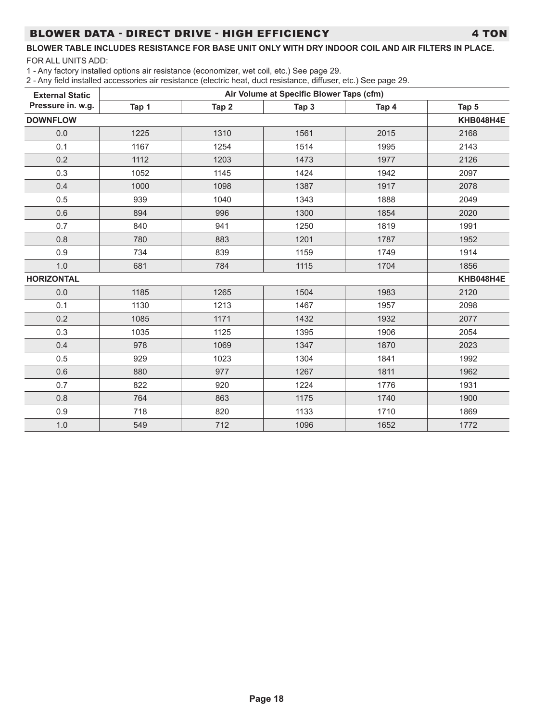# BLOWER DATA - DIRECT DRIVE - HIGH EFFICIENCY 4 TON

#### **BLOWER TABLE INCLUDES RESISTANCE FOR BASE UNIT ONLY WITH DRY INDOOR COIL AND AIR FILTERS IN PLACE.** FOR ALL UNITS ADD:

1 - Any factory installed options air resistance (economizer, wet coil, etc.) See page 29.

| <b>External Static</b> | Air Volume at Specific Blower Taps (cfm) |       |       |       |           |  |  |  |  |
|------------------------|------------------------------------------|-------|-------|-------|-----------|--|--|--|--|
| Pressure in. w.g.      | Tap 1                                    | Tap 2 | Tap 3 | Tap 4 | Tap 5     |  |  |  |  |
| <b>DOWNFLOW</b>        |                                          |       |       |       | KHB048H4E |  |  |  |  |
| 0.0                    | 1225                                     | 1310  | 1561  | 2015  | 2168      |  |  |  |  |
| 0.1                    | 1167                                     | 1254  | 1514  | 1995  | 2143      |  |  |  |  |
| 0.2                    | 1112                                     | 1203  | 1473  | 1977  | 2126      |  |  |  |  |
| 0.3                    | 1052                                     | 1145  | 1424  | 1942  | 2097      |  |  |  |  |
| 0.4                    | 1000                                     | 1098  | 1387  | 1917  | 2078      |  |  |  |  |
| 0.5                    | 939                                      | 1040  | 1343  | 1888  | 2049      |  |  |  |  |
| 0.6                    | 894                                      | 996   | 1300  | 1854  | 2020      |  |  |  |  |
| 0.7                    | 840                                      | 941   | 1250  | 1819  | 1991      |  |  |  |  |
| 0.8                    | 780                                      | 883   | 1201  | 1787  | 1952      |  |  |  |  |
| 0.9                    | 734                                      | 839   | 1159  | 1749  | 1914      |  |  |  |  |
| 1.0                    | 681                                      | 784   | 1115  | 1704  | 1856      |  |  |  |  |
| <b>HORIZONTAL</b>      |                                          |       |       |       | KHB048H4E |  |  |  |  |
| 0.0                    | 1185                                     | 1265  | 1504  | 1983  | 2120      |  |  |  |  |
| 0.1                    | 1130                                     | 1213  | 1467  | 1957  | 2098      |  |  |  |  |
| 0.2                    | 1085                                     | 1171  | 1432  | 1932  | 2077      |  |  |  |  |
| 0.3                    | 1035                                     | 1125  | 1395  | 1906  | 2054      |  |  |  |  |
| 0.4                    | 978                                      | 1069  | 1347  | 1870  | 2023      |  |  |  |  |
| 0.5                    | 929                                      | 1023  | 1304  | 1841  | 1992      |  |  |  |  |
| 0.6                    | 880                                      | 977   | 1267  | 1811  | 1962      |  |  |  |  |
| 0.7                    | 822                                      | 920   | 1224  | 1776  | 1931      |  |  |  |  |
| 0.8                    | 764                                      | 863   | 1175  | 1740  | 1900      |  |  |  |  |
| 0.9                    | 718                                      | 820   | 1133  | 1710  | 1869      |  |  |  |  |
| $1.0$                  | 549                                      | 712   | 1096  | 1652  | 1772      |  |  |  |  |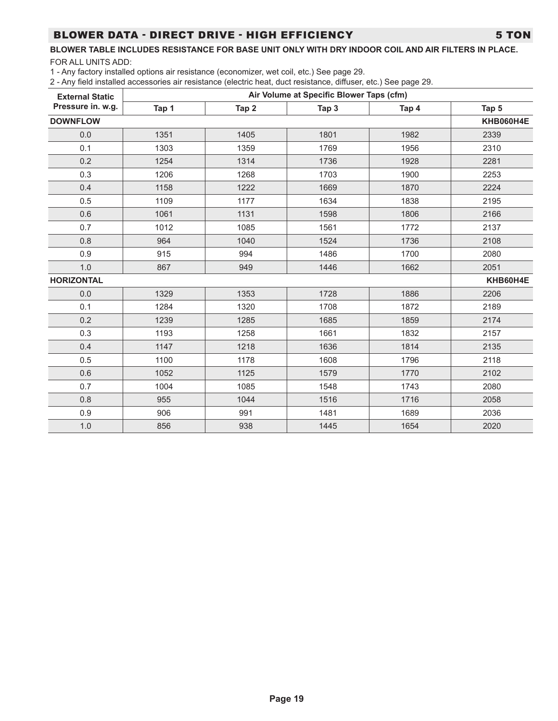#### BLOWER DATA - DIRECT DRIVE - HIGH EFFICIENCY 5 TON

#### **BLOWER TABLE INCLUDES RESISTANCE FOR BASE UNIT ONLY WITH DRY INDOOR COIL AND AIR FILTERS IN PLACE.**

FOR ALL UNITS ADD:

1 - Any factory installed options air resistance (economizer, wet coil, etc.) See page 29.

| <b>External Static</b> | Air Volume at Specific Blower Taps (cfm) |                  |       |       |          |  |  |  |  |
|------------------------|------------------------------------------|------------------|-------|-------|----------|--|--|--|--|
| Pressure in. w.g.      | Tap 1                                    | Tap <sub>2</sub> | Tap 3 | Tap 4 | Tap 5    |  |  |  |  |
| <b>DOWNFLOW</b>        | KHB060H4E                                |                  |       |       |          |  |  |  |  |
| 0.0                    | 1351                                     | 1405             | 1801  | 1982  | 2339     |  |  |  |  |
| 0.1                    | 1303                                     | 1359             | 1769  | 1956  | 2310     |  |  |  |  |
| 0.2                    | 1254                                     | 1314             | 1736  | 1928  | 2281     |  |  |  |  |
| 0.3                    | 1206                                     | 1268             | 1703  | 1900  | 2253     |  |  |  |  |
| 0.4                    | 1158                                     | 1222             | 1669  | 1870  | 2224     |  |  |  |  |
| 0.5                    | 1109                                     | 1177             | 1634  | 1838  | 2195     |  |  |  |  |
| 0.6                    | 1061                                     | 1131             | 1598  | 1806  | 2166     |  |  |  |  |
| 0.7                    | 1012                                     | 1085             | 1561  | 1772  | 2137     |  |  |  |  |
| 0.8                    | 964                                      | 1040             | 1524  | 1736  | 2108     |  |  |  |  |
| 0.9                    | 915                                      | 994              | 1486  | 1700  | 2080     |  |  |  |  |
| 1.0                    | 867                                      | 949              | 1446  | 1662  | 2051     |  |  |  |  |
| <b>HORIZONTAL</b>      |                                          |                  |       |       | KHB60H4E |  |  |  |  |
| 0.0                    | 1329                                     | 1353             | 1728  | 1886  | 2206     |  |  |  |  |
| 0.1                    | 1284                                     | 1320             | 1708  | 1872  | 2189     |  |  |  |  |
| 0.2                    | 1239                                     | 1285             | 1685  | 1859  | 2174     |  |  |  |  |
| 0.3                    | 1193                                     | 1258             | 1661  | 1832  | 2157     |  |  |  |  |
| 0.4                    | 1147                                     | 1218             | 1636  | 1814  | 2135     |  |  |  |  |
| 0.5                    | 1100                                     | 1178             | 1608  | 1796  | 2118     |  |  |  |  |
| 0.6                    | 1052                                     | 1125             | 1579  | 1770  | 2102     |  |  |  |  |
| 0.7                    | 1004                                     | 1085             | 1548  | 1743  | 2080     |  |  |  |  |
| 0.8                    | 955                                      | 1044             | 1516  | 1716  | 2058     |  |  |  |  |
| 0.9                    | 906                                      | 991              | 1481  | 1689  | 2036     |  |  |  |  |
| 1.0                    | 856                                      | 938              | 1445  | 1654  | 2020     |  |  |  |  |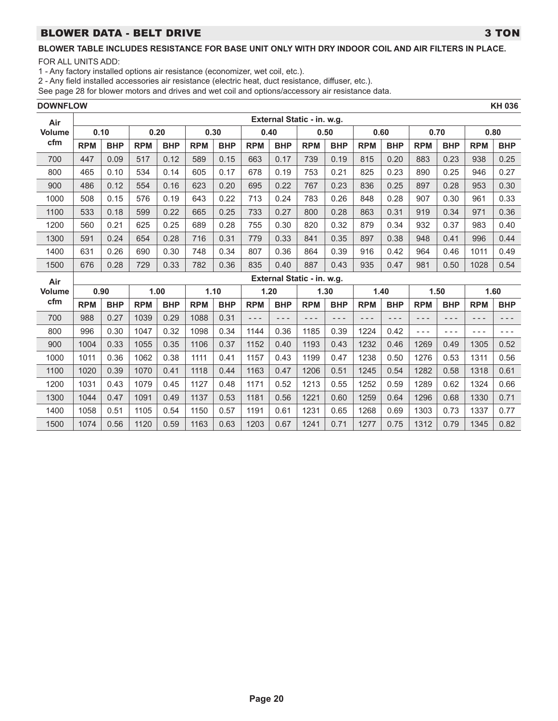## BLOWER DATA - BELT DRIVE 3 TON

# **BLOWER TABLE INCLUDES RESISTANCE FOR BASE UNIT ONLY WITH DRY INDOOR COIL AND AIR FILTERS IN PLACE.**

FOR ALL UNITS ADD:

1 - Any factory installed options air resistance (economizer, wet coil, etc.).

2 - Any field installed accessories air resistance (electric heat, duct resistance, diffuser, etc.).

| <b>DOWNFLOW</b> |            |            |            |            |            |            |            |            |                            |            |            |            |            |            |            | <b>KH 036</b> |
|-----------------|------------|------------|------------|------------|------------|------------|------------|------------|----------------------------|------------|------------|------------|------------|------------|------------|---------------|
| Air             |            |            |            |            |            |            |            |            | External Static - in. w.g. |            |            |            |            |            |            |               |
| <b>Volume</b>   |            | 0.10       |            | 0.20       |            | 0.30       |            | 0.40       |                            | 0.50       |            | 0.60       |            | 0.70       |            | 0.80          |
| cfm             | <b>RPM</b> | <b>BHP</b> | <b>RPM</b> | <b>BHP</b> | <b>RPM</b> | <b>BHP</b> | <b>RPM</b> | <b>BHP</b> | <b>RPM</b>                 | <b>BHP</b> | <b>RPM</b> | <b>BHP</b> | <b>RPM</b> | <b>BHP</b> | <b>RPM</b> | <b>BHP</b>    |
| 700             | 447        | 0.09       | 517        | 0.12       | 589        | 0.15       | 663        | 0.17       | 739                        | 0.19       | 815        | 0.20       | 883        | 0.23       | 938        | 0.25          |
| 800             | 465        | 0.10       | 534        | 0.14       | 605        | 0.17       | 678        | 0.19       | 753                        | 0.21       | 825        | 0.23       | 890        | 0.25       | 946        | 0.27          |
| 900             | 486        | 0.12       | 554        | 0.16       | 623        | 0.20       | 695        | 0.22       | 767                        | 0.23       | 836        | 0.25       | 897        | 0.28       | 953        | 0.30          |
| 1000            | 508        | 0.15       | 576        | 0.19       | 643        | 0.22       | 713        | 0.24       | 783                        | 0.26       | 848        | 0.28       | 907        | 0.30       | 961        | 0.33          |
| 1100            | 533        | 0.18       | 599        | 0.22       | 665        | 0.25       | 733        | 0.27       | 800                        | 0.28       | 863        | 0.31       | 919        | 0.34       | 971        | 0.36          |
| 1200            | 560        | 0.21       | 625        | 0.25       | 689        | 0.28       | 755        | 0.30       | 820                        | 0.32       | 879        | 0.34       | 932        | 0.37       | 983        | 0.40          |
| 1300            | 591        | 0.24       | 654        | 0.28       | 716        | 0.31       | 779        | 0.33       | 841                        | 0.35       | 897        | 0.38       | 948        | 0.41       | 996        | 0.44          |
| 1400            | 631        | 0.26       | 690        | 0.30       | 748        | 0.34       | 807        | 0.36       | 864                        | 0.39       | 916        | 0.42       | 964        | 0.46       | 1011       | 0.49          |
| 1500            | 676        | 0.28       | 729        | 0.33       | 782        | 0.36       | 835        | 0.40       | 887                        | 0.43       | 935        | 0.47       | 981        | 0.50       | 1028       | 0.54          |
| Air             |            |            |            |            |            |            |            |            | External Static - in. w.g. |            |            |            |            |            |            |               |
| <b>Volume</b>   |            | 0.90       |            | 1.00       |            | 1.10       |            | 1.20       |                            | 1.30       |            | 1.40       |            | 1.50       |            | 1.60          |
| cfm             | <b>RPM</b> | <b>BHP</b> | <b>RPM</b> | <b>BHP</b> | <b>RPM</b> | <b>BHP</b> | <b>RPM</b> | <b>BHP</b> | <b>RPM</b>                 | <b>BHP</b> | <b>RPM</b> | <b>BHP</b> | <b>RPM</b> | <b>BHP</b> | <b>RPM</b> | <b>BHP</b>    |
| 700             | 988        | 0.27       | 1039       | 0.29       | 1088       | 0.31       | - - -      | $- - -$    | ---                        | $- - -$    | - - -      | - - -      | $- - -$    | ---        | $- - -$    | - - -         |
| 800             | 996        | 0.30       | 1047       | 0.32       | 1098       | 0.34       | 1144       | 0.36       | 1185                       | 0.39       | 1224       | 0.42       | $- - -$    | $- - -$    | $- - -$    | $- - -$       |
| 900             | 1004       | 0.33       | 1055       | 0.35       | 1106       | 0.37       | 1152       | 0.40       | 1193                       | 0.43       | 1232       | 0.46       | 1269       | 0.49       | 1305       | 0.52          |
| 1000            | 1011       | 0.36       | 1062       | 0.38       | 1111       | 0.41       | 1157       | 0.43       | 1199                       | 0.47       | 1238       | 0.50       | 1276       | 0.53       | 1311       | 0.56          |
| 1100            | 1020       | 0.39       | 1070       | 0.41       | 1118       | 0.44       | 1163       | 0.47       | 1206                       | 0.51       | 1245       | 0.54       | 1282       | 0.58       | 1318       | 0.61          |
| 1200            | 1031       | 0.43       | 1079       | 0.45       | 1127       | 0.48       | 1171       | 0.52       | 1213                       | 0.55       | 1252       | 0.59       | 1289       | 0.62       | 1324       | 0.66          |
| 1300            | 1044       | 0.47       | 1091       | 0.49       | 1137       | 0.53       | 1181       | 0.56       | 1221                       | 0.60       | 1259       | 0.64       | 1296       | 0.68       | 1330       | 0.71          |
| 1400            | 1058       | 0.51       | 1105       | 0.54       | 1150       | 0.57       | 1191       | 0.61       | 1231                       | 0.65       | 1268       | 0.69       | 1303       | 0.73       | 1337       | 0.77          |
| 1500            | 1074       | 0.56       | 1120       | 0.59       | 1163       | 0.63       | 1203       | 0.67       | 1241                       | 0.71       | 1277       | 0.75       | 1312       | 0.79       | 1345       | 0.82          |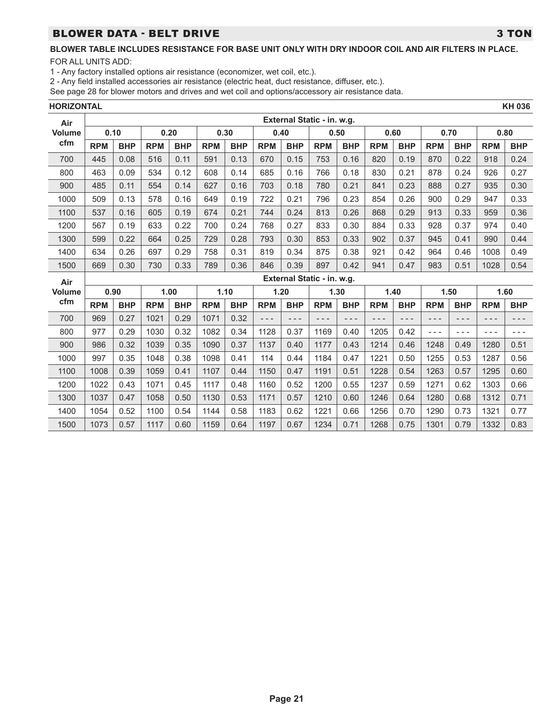# BLOWER DATA - BELT DRIVE 3 TON

FOR ALL UNITS ADD:

1 - Any factory installed options air resistance (economizer, wet coil, etc.).

2 - Any field installed accessories air resistance (electric heat, duct resistance, diffuser, etc.).

| HORIZONTAL    |            |            |            |            |            |            |            |            |                            |            |            |            |            |            |            | <b>KH 036</b> |
|---------------|------------|------------|------------|------------|------------|------------|------------|------------|----------------------------|------------|------------|------------|------------|------------|------------|---------------|
| Air           |            |            |            |            |            |            |            |            | External Static - in. w.g. |            |            |            |            |            |            |               |
| <b>Volume</b> |            | 0.10       |            | 0.20       |            | 0.30       |            | 0.40       |                            | 0.50       |            | 0.60       |            | 0.70       |            | 0.80          |
| cfm           | <b>RPM</b> | <b>BHP</b> | <b>RPM</b> | <b>BHP</b> | <b>RPM</b> | <b>BHP</b> | <b>RPM</b> | <b>BHP</b> | <b>RPM</b>                 | <b>BHP</b> | <b>RPM</b> | <b>BHP</b> | <b>RPM</b> | <b>BHP</b> | <b>RPM</b> | <b>BHP</b>    |
| 700           | 445        | 0.08       | 516        | 0.11       | 591        | 0.13       | 670        | 0.15       | 753                        | 0.16       | 820        | 0.19       | 870        | 0.22       | 918        | 0.24          |
| 800           | 463        | 0.09       | 534        | 0.12       | 608        | 0.14       | 685        | 0.16       | 766                        | 0.18       | 830        | 0.21       | 878        | 0.24       | 926        | 0.27          |
| 900           | 485        | 0.11       | 554        | 0.14       | 627        | 0.16       | 703        | 0.18       | 780                        | 0.21       | 841        | 0.23       | 888        | 0.27       | 935        | 0.30          |
| 1000          | 509        | 0.13       | 578        | 0.16       | 649        | 0.19       | 722        | 0.21       | 796                        | 0.23       | 854        | 0.26       | 900        | 0.29       | 947        | 0.33          |
| 1100          | 537        | 0.16       | 605        | 0.19       | 674        | 0.21       | 744        | 0.24       | 813                        | 0.26       | 868        | 0.29       | 913        | 0.33       | 959        | 0.36          |
| 1200          | 567        | 0.19       | 633        | 0.22       | 700        | 0.24       | 768        | 0.27       | 833                        | 0.30       | 884        | 0.33       | 928        | 0.37       | 974        | 0.40          |
| 1300          | 599        | 0.22       | 664        | 0.25       | 729        | 0.28       | 793        | 0.30       | 853                        | 0.33       | 902        | 0.37       | 945        | 0.41       | 990        | 0.44          |
| 1400          | 634        | 0.26       | 697        | 0.29       | 758        | 0.31       | 819        | 0.34       | 875                        | 0.38       | 921        | 0.42       | 964        | 0.46       | 1008       | 0.49          |
| 1500          | 669        | 0.30       | 730        | 0.33       | 789        | 0.36       | 846        | 0.39       | 897                        | 0.42       | 941        | 0.47       | 983        | 0.51       | 1028       | 0.54          |
| Air           |            |            |            |            |            |            |            |            | External Static - in. w.g. |            |            |            |            |            |            |               |
| <b>Volume</b> |            | 0.90       |            | 1.00       |            | 1.10       |            | 1.20       |                            | 1.30       |            | 1.40       |            | 1.50       |            | 1.60          |
| cfm           | <b>RPM</b> | <b>BHP</b> | <b>RPM</b> | <b>BHP</b> | <b>RPM</b> | <b>BHP</b> | <b>RPM</b> | <b>BHP</b> | <b>RPM</b>                 | <b>BHP</b> | <b>RPM</b> | <b>BHP</b> | <b>RPM</b> | <b>BHP</b> | <b>RPM</b> | <b>BHP</b>    |
| 700           | 969        | 0.27       | 1021       | 0.29       | 1071       | 0.32       | $- - -$    | $- - -$    | $- - -$                    | - - -      | - - -      | - - -      | ---        | - - -      | ---        | - - -         |
| 800           | 977        | 0.29       | 1030       | 0.32       | 1082       | 0.34       | 1128       | 0.37       | 1169                       | 0.40       | 1205       | 0.42       | $- - -$    | - - -      | ---        | ---           |
| 900           | 986        | 0.32       | 1039       | 0.35       | 1090       | 0.37       | 1137       | 0.40       | 1177                       | 0.43       | 1214       | 0.46       | 1248       | 0.49       | 1280       | 0.51          |
| 1000          | 997        | 0.35       | 1048       | 0.38       | 1098       | 0.41       | 114        | 0.44       | 1184                       | 0.47       | 1221       | 0.50       | 1255       | 0.53       | 1287       | 0.56          |
| 1100          | 1008       | 0.39       | 1059       | 0.41       | 1107       | 0.44       | 1150       | 0.47       | 1191                       | 0.51       | 1228       | 0.54       | 1263       | 0.57       | 1295       | 0.60          |
| 1200          | 1022       | 0.43       | 1071       | 0.45       | 1117       | 0.48       | 1160       | 0.52       | 1200                       | 0.55       | 1237       | 0.59       | 1271       | 0.62       | 1303       | 0.66          |
| 1300          | 1037       | 0.47       | 1058       | 0.50       | 1130       | 0.53       | 1171       | 0.57       | 1210                       | 0.60       | 1246       | 0.64       | 1280       | 0.68       | 1312       | 0.71          |
| 1400          | 1054       | 0.52       | 1100       | 0.54       | 1144       | 0.58       | 1183       | 0.62       | 1221                       | 0.66       | 1256       | 0.70       | 1290       | 0.73       | 1321       | 0.77          |
| 1500          | 1073       | 0.57       | 1117       | 0.60       | 1159       | 0.64       | 1197       | 0.67       | 1234                       | 0.71       | 1268       | 0.75       | 1301       | 0.79       | 1332       | 0.83          |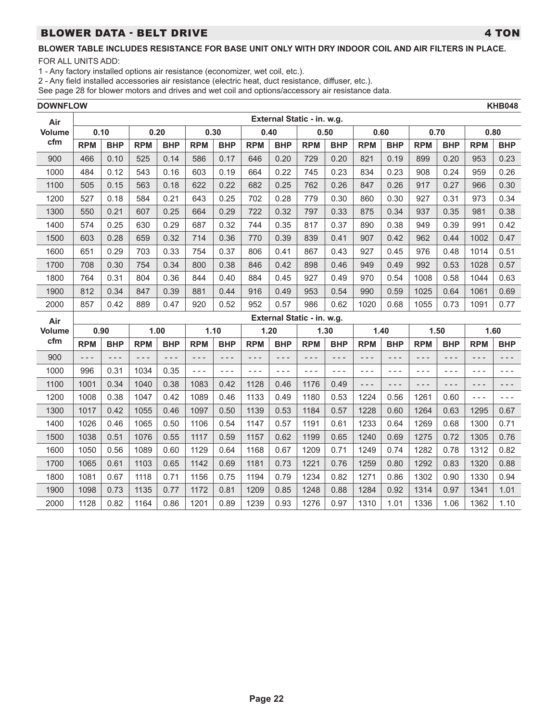# BLOWER DATA - BELT DRIVE **A SECOND CONTROL** A TON

# **BLOWER TABLE INCLUDES RESISTANCE FOR BASE UNIT ONLY WITH DRY INDOOR COIL AND AIR FILTERS IN PLACE.**

FOR ALL UNITS ADD:

1 - Any factory installed options air resistance (economizer, wet coil, etc.).

2 - Any field installed accessories air resistance (electric heat, duct resistance, diffuser, etc.).

| <b>DOWNFLOW</b> |            |            |            |            |            |            |            |            |                            |            |            |            |            |            |            | <b>KHB048</b> |
|-----------------|------------|------------|------------|------------|------------|------------|------------|------------|----------------------------|------------|------------|------------|------------|------------|------------|---------------|
| Air             |            |            |            |            |            |            |            |            | External Static - in. w.g. |            |            |            |            |            |            |               |
| <b>Volume</b>   |            | 0.10       |            | 0.20       |            | 0.30       |            | 0.40       |                            | 0.50       |            | 0.60       |            | 0.70       |            | 0.80          |
| cfm             | <b>RPM</b> | <b>BHP</b> | <b>RPM</b> | <b>BHP</b> | <b>RPM</b> | <b>BHP</b> | <b>RPM</b> | <b>BHP</b> | <b>RPM</b>                 | <b>BHP</b> | <b>RPM</b> | <b>BHP</b> | <b>RPM</b> | <b>BHP</b> | <b>RPM</b> | <b>BHP</b>    |
| 900             | 466        | 0.10       | 525        | 0.14       | 586        | 0.17       | 646        | 0.20       | 729                        | 0.20       | 821        | 0.19       | 899        | 0.20       | 953        | 0.23          |
| 1000            | 484        | 0.12       | 543        | 0.16       | 603        | 0.19       | 664        | 0.22       | 745                        | 0.23       | 834        | 0.23       | 908        | 0.24       | 959        | 0.26          |
| 1100            | 505        | 0.15       | 563        | 0.18       | 622        | 0.22       | 682        | 0.25       | 762                        | 0.26       | 847        | 0.26       | 917        | 0.27       | 966        | 0.30          |
| 1200            | 527        | 0.18       | 584        | 0.21       | 643        | 0.25       | 702        | 0.28       | 779                        | 0.30       | 860        | 0.30       | 927        | 0.31       | 973        | 0.34          |
| 1300            | 550        | 0.21       | 607        | 0.25       | 664        | 0.29       | 722        | 0.32       | 797                        | 0.33       | 875        | 0.34       | 937        | 0.35       | 981        | 0.38          |
| 1400            | 574        | 0.25       | 630        | 0.29       | 687        | 0.32       | 744        | 0.35       | 817                        | 0.37       | 890        | 0.38       | 949        | 0.39       | 991        | 0.42          |
| 1500            | 603        | 0.28       | 659        | 0.32       | 714        | 0.36       | 770        | 0.39       | 839                        | 0.41       | 907        | 0.42       | 962        | 0.44       | 1002       | 0.47          |
| 1600            | 651        | 0.29       | 703        | 0.33       | 754        | 0.37       | 806        | 0.41       | 867                        | 0.43       | 927        | 0.45       | 976        | 0.48       | 1014       | 0.51          |
| 1700            | 708        | 0.30       | 754        | 0.34       | 800        | 0.38       | 846        | 0.42       | 898                        | 0.46       | 949        | 0.49       | 992        | 0.53       | 1028       | 0.57          |
| 1800            | 764        | 0.31       | 804        | 0.36       | 844        | 0.40       | 884        | 0.45       | 927                        | 0.49       | 970        | 0.54       | 1008       | 0.58       | 1044       | 0.63          |
| 1900            | 812        | 0.34       | 847        | 0.39       | 881        | 0.44       | 916        | 0.49       | 953                        | 0.54       | 990        | 0.59       | 1025       | 0.64       | 1061       | 0.69          |
| 2000            | 857        | 0.42       | 889        | 0.47       | 920        | 0.52       | 952        | 0.57       | 986                        | 0.62       | 1020       | 0.68       | 1055       | 0.73       | 1091       | 0.77          |
| Air             |            |            |            |            |            |            |            |            | External Static - in. w.g. |            |            |            |            |            |            |               |
| <b>Volume</b>   |            | 0.90       |            | 1.00       |            | 1.10       |            | 1.20       |                            | 1.30       |            | 1.40       |            | 1.50       |            | 1.60          |
| cfm             | <b>RPM</b> | <b>BHP</b> | <b>RPM</b> | <b>BHP</b> | <b>RPM</b> | <b>BHP</b> | <b>RPM</b> | <b>BHP</b> | <b>RPM</b>                 | <b>BHP</b> | <b>RPM</b> | <b>BHP</b> | <b>RPM</b> | <b>BHP</b> | <b>RPM</b> | <b>BHP</b>    |
| 900             | $- - -$    | $- - -$    | $- - -$    | - - -      | $- - -$    | $- - -$    | $- - -$    | - - -      | $- - -$                    | $- - -$    | $- - -$    | $- - -$    | $- - -$    | - - -      | $- - -$    | $- - -$       |
| 1000            | 996        | 0.31       | 1034       | 0.35       | $- - -$    | $- - -$    | $- - -$    | $- - -$    | $- - -$                    | $- - -$    | $- - -$    | $- - -$    | $- - -$    | ---        | $- - -$    | $- - -$       |
| 1100            | 1001       | 0.34       | 1040       | 0.38       | 1083       | 0.42       | 1128       | 0.46       | 1176                       | 0.49       | ---        | - - -      | - - -      | - - -      | $- - -$    | - - -         |
| 1200            | 1008       | 0.38       | 1047       | 0.42       | 1089       | 0.46       | 1133       | 0.49       | 1180                       | 0.53       | 1224       | 0.56       | 1261       | 0.60       | $- - -$    | $- - -$       |
| 1300            | 1017       | 0.42       | 1055       | 0.46       | 1097       | 0.50       | 1139       | 0.53       | 1184                       | 0.57       | 1228       | 0.60       | 1264       | 0.63       | 1295       | 0.67          |
| 1400            | 1026       | 0.46       | 1065       | 0.50       | 1106       | 0.54       | 1147       | 0.57       | 1191                       | 0.61       | 1233       | 0.64       | 1269       | 0.68       | 1300       | 0.71          |
| 1500            | 1038       | 0.51       | 1076       | 0.55       | 1117       | 0.59       | 1157       | 0.62       | 1199                       | 0.65       | 1240       | 0.69       | 1275       | 0.72       | 1305       | 0.76          |
| 1600            | 1050       | 0.56       | 1089       | 0.60       | 1129       | 0.64       | 1168       | 0.67       | 1209                       | 0.71       | 1249       | 0.74       | 1282       | 0.78       | 1312       | 0.82          |
| 1700            | 1065       | 0.61       | 1103       | 0.65       | 1142       | 0.69       | 1181       | 0.73       | 1221                       | 0.76       | 1259       | 0.80       | 1292       | 0.83       | 1320       | 0.88          |
| 1800            | 1081       | 0.67       | 1118       | 0.71       | 1156       | 0.75       | 1194       | 0.79       | 1234                       | 0.82       | 1271       | 0.86       | 1302       | 0.90       | 1330       | 0.94          |
| 1900            | 1098       | 0.73       | 1135       | 0.77       | 1172       | 0.81       | 1209       | 0.85       | 1248                       | 0.88       | 1284       | 0.92       | 1314       | 0.97       | 1341       | 1.01          |
| 2000            | 1128       | 0.82       | 1164       | 0.86       | 1201       | 0.89       | 1239       | 0.93       | 1276                       | 0.97       | 1310       | 1.01       | 1336       | 1.06       | 1362       | 1.10          |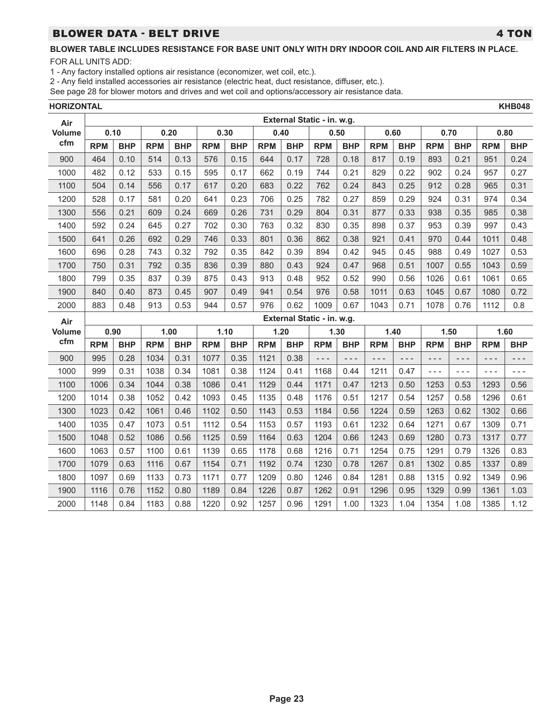## BLOWER DATA - BELT DRIVE **A SECOND CONTROL** 2 TON

FOR ALL UNITS ADD:

1 - Any factory installed options air resistance (economizer, wet coil, etc.).

2 - Any field installed accessories air resistance (electric heat, duct resistance, diffuser, etc.).

See page 28 for blower motors and drives and wet coil and options/accessory air resistance data.

**HORIZONTAL KHB048**

| Air           |            |            |            |            |            |            |            |            | External Static - in. w.g. |            |            |            |            |            |            |            |
|---------------|------------|------------|------------|------------|------------|------------|------------|------------|----------------------------|------------|------------|------------|------------|------------|------------|------------|
| Volume        | 0.10       |            |            | 0.20       | 0.30       |            |            | 0.40       | 0.50                       |            | 0.60       |            |            | 0.70       |            | 0.80       |
| cfm           | <b>RPM</b> | <b>BHP</b> | <b>RPM</b> | <b>BHP</b> | <b>RPM</b> | <b>BHP</b> | <b>RPM</b> | <b>BHP</b> | <b>RPM</b>                 | <b>BHP</b> | <b>RPM</b> | <b>BHP</b> | <b>RPM</b> | <b>BHP</b> | <b>RPM</b> | <b>BHP</b> |
| 900           | 464        | 0.10       | 514        | 0.13       | 576        | 0.15       | 644        | 0.17       | 728                        | 0.18       | 817        | 0.19       | 893        | 0.21       | 951        | 0.24       |
| 1000          | 482        | 0.12       | 533        | 0.15       | 595        | 0.17       | 662        | 0.19       | 744                        | 0.21       | 829        | 0.22       | 902        | 0.24       | 957        | 0.27       |
| 1100          | 504        | 0.14       | 556        | 0.17       | 617        | 0.20       | 683        | 0.22       | 762                        | 0.24       | 843        | 0.25       | 912        | 0.28       | 965        | 0.31       |
| 1200          | 528        | 0.17       | 581        | 0.20       | 641        | 0.23       | 706        | 0.25       | 782                        | 0.27       | 859        | 0.29       | 924        | 0.31       | 974        | 0.34       |
| 1300          | 556        | 0.21       | 609        | 0.24       | 669        | 0.26       | 731        | 0.29       | 804                        | 0.31       | 877        | 0.33       | 938        | 0.35       | 985        | 0.38       |
| 1400          | 592        | 0.24       | 645        | 0.27       | 702        | 0.30       | 763        | 0.32       | 830                        | 0.35       | 898        | 0.37       | 953        | 0.39       | 997        | 0.43       |
| 1500          | 641        | 0.26       | 692        | 0.29       | 746        | 0.33       | 801        | 0.36       | 862                        | 0.38       | 921        | 0.41       | 970        | 0.44       | 1011       | 0.48       |
| 1600          | 696        | 0.28       | 743        | 0.32       | 792        | 0.35       | 842        | 0.39       | 894                        | 0.42       | 945        | 0.45       | 988        | 0.49       | 1027       | 0.53       |
| 1700          | 750        | 0.31       | 792        | 0.35       | 836        | 0.39       | 880        | 0.43       | 924                        | 0.47       | 968        | 0.51       | 1007       | 0.55       | 1043       | 0.59       |
| 1800          | 799        | 0.35       | 837        | 0.39       | 875        | 0.43       | 913        | 0.48       | 952                        | 0.52       | 990        | 0.56       | 1026       | 0.61       | 1061       | 0.65       |
| 1900          | 840        | 0.40       | 873        | 0.45       | 907        | 0.49       | 941        | 0.54       | 976                        | 0.58       | 1011       | 0.63       | 1045       | 0.67       | 1080       | 0.72       |
| 2000          | 883        | 0.48       | 913        | 0.53       | 944        | 0.57       | 976        | 0.62       | 1009                       | 0.67       | 1043       | 0.71       | 1078       | 0.76       | 1112       | 0.8        |
|               |            |            |            |            |            |            |            |            |                            |            |            |            |            |            |            |            |
| Air           |            |            |            |            |            |            |            |            | External Static - in. w.g. |            |            |            |            |            |            |            |
| <b>Volume</b> | 0.90       |            |            | 1.00       |            | 1.10       |            | 1.20       | 1.30                       |            |            | 1.40       |            | 1.50       |            | 1.60       |
| cfm           | <b>RPM</b> | <b>BHP</b> | <b>RPM</b> | <b>BHP</b> | <b>RPM</b> | <b>BHP</b> | <b>RPM</b> | <b>BHP</b> | <b>RPM</b>                 | <b>BHP</b> | <b>RPM</b> | <b>BHP</b> | <b>RPM</b> | <b>BHP</b> | <b>RPM</b> | <b>BHP</b> |
| 900           | 995        | 0.28       | 1034       | 0.31       | 1077       | 0.35       | 1121       | 0.38       | - - -                      | - - -      | $- - -$    | - - -      | $- - -$    | $- - -$    | - - -      | - - -      |
| 1000          | 999        | 0.31       | 1038       | 0.34       | 1081       | 0.38       | 1124       | 0.41       | 1168                       | 0.44       | 1211       | 0.47       | $- - -$    | $- - -$    | $- - -$    | $- - -$    |
| 1100          | 1006       | 0.34       | 1044       | 0.38       | 1086       | 0.41       | 1129       | 0.44       | 1171                       | 0.47       | 1213       | 0.50       | 1253       | 0.53       | 1293       | 0.56       |
| 1200          | 1014       | 0.38       | 1052       | 0.42       | 1093       | 0.45       | 1135       | 0.48       | 1176                       | 0.51       | 1217       | 0.54       | 1257       | 0.58       | 1296       | 0.61       |
| 1300          | 1023       | 0.42       | 1061       | 0.46       | 1102       | 0.50       | 1143       | 0.53       | 1184                       | 0.56       | 1224       | 0.59       | 1263       | 0.62       | 1302       | 0.66       |
| 1400          | 1035       | 0.47       | 1073       | 0.51       | 1112       | 0.54       | 1153       | 0.57       | 1193                       | 0.61       | 1232       | 0.64       | 1271       | 0.67       | 1309       | 0.71       |
| 1500          | 1048       | 0.52       | 1086       | 0.56       | 1125       | 0.59       | 1164       | 0.63       | 1204                       | 0.66       | 1243       | 0.69       | 1280       | 0.73       | 1317       | 0.77       |
| 1600          | 1063       | 0.57       | 1100       | 0.61       | 1139       | 0.65       | 1178       | 0.68       | 1216                       | 0.71       | 1254       | 0.75       | 1291       | 0.79       | 1326       | 0.83       |
| 1700          | 1079       | 0.63       | 1116       | 0.67       | 1154       | 0.71       | 1192       | 0.74       | 1230                       | 0.78       | 1267       | 0.81       | 1302       | 0.85       | 1337       | 0.89       |
| 1800          | 1097       | 0.69       | 1133       | 0.73       | 1171       | 0.77       | 1209       | 0.80       | 1246                       | 0.84       | 1281       | 0.88       | 1315       | 0.92       | 1349       | 0.96       |
| 1900          | 1116       | 0.76       | 1152       | 0.80       | 1189       | 0.84       | 1226       | 0.87       | 1262                       | 0.91       | 1296       | 0.95       | 1329       | 0.99       | 1361       | 1.03       |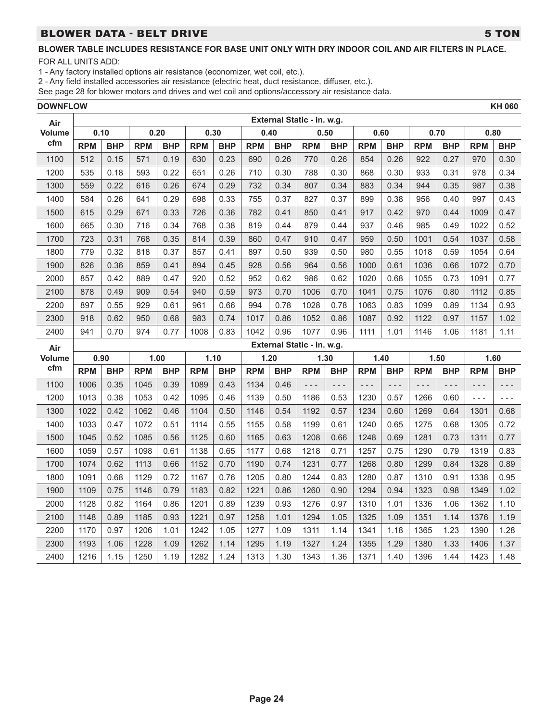# BLOWER DATA - BELT DRIVE **1999 SET AND 1999 SET AND 1999** STON

### **BLOWER TABLE INCLUDES RESISTANCE FOR BASE UNIT ONLY WITH DRY INDOOR COIL AND AIR FILTERS IN PLACE.**

FOR ALL UNITS ADD:

1 - Any factory installed options air resistance (economizer, wet coil, etc.).

2 - Any field installed accessories air resistance (electric heat, duct resistance, diffuser, etc.).

| <b>DOWNFLOW</b> |            |            |            |            |            |            |            |            |                            |            |            |            |            |            |            | <b>KH 060</b> |
|-----------------|------------|------------|------------|------------|------------|------------|------------|------------|----------------------------|------------|------------|------------|------------|------------|------------|---------------|
| Air             |            |            |            |            |            |            |            |            | External Static - in. w.g. |            |            |            |            |            |            |               |
| Volume          |            | 0.10       |            | 0.20       |            | 0.30       |            | 0.40       |                            | 0.50       |            | 0.60       |            | 0.70       |            | 0.80          |
| cfm             | <b>RPM</b> | <b>BHP</b> | <b>RPM</b> | <b>BHP</b> | <b>RPM</b> | <b>BHP</b> | <b>RPM</b> | <b>BHP</b> | <b>RPM</b>                 | <b>BHP</b> | <b>RPM</b> | <b>BHP</b> | <b>RPM</b> | <b>BHP</b> | <b>RPM</b> | <b>BHP</b>    |
| 1100            | 512        | 0.15       | 571        | 0.19       | 630        | 0.23       | 690        | 0.26       | 770                        | 0.26       | 854        | 0.26       | 922        | 0.27       | 970        | 0.30          |
| 1200            | 535        | 0.18       | 593        | 0.22       | 651        | 0.26       | 710        | 0.30       | 788                        | 0.30       | 868        | 0.30       | 933        | 0.31       | 978        | 0.34          |
| 1300            | 559        | 0.22       | 616        | 0.26       | 674        | 0.29       | 732        | 0.34       | 807                        | 0.34       | 883        | 0.34       | 944        | 0.35       | 987        | 0.38          |
| 1400            | 584        | 0.26       | 641        | 0.29       | 698        | 0.33       | 755        | 0.37       | 827                        | 0.37       | 899        | 0.38       | 956        | 0.40       | 997        | 0.43          |
| 1500            | 615        | 0.29       | 671        | 0.33       | 726        | 0.36       | 782        | 0.41       | 850                        | 0.41       | 917        | 0.42       | 970        | 0.44       | 1009       | 0.47          |
| 1600            | 665        | 0.30       | 716        | 0.34       | 768        | 0.38       | 819        | 0.44       | 879                        | 0.44       | 937        | 0.46       | 985        | 0.49       | 1022       | 0.52          |
| 1700            | 723        | 0.31       | 768        | 0.35       | 814        | 0.39       | 860        | 0.47       | 910                        | 0.47       | 959        | 0.50       | 1001       | 0.54       | 1037       | 0.58          |
| 1800            | 779        | 0.32       | 818        | 0.37       | 857        | 0.41       | 897        | 0.50       | 939                        | 0.50       | 980        | 0.55       | 1018       | 0.59       | 1054       | 0.64          |
| 1900            | 826        | 0.36       | 859        | 0.41       | 894        | 0.45       | 928        | 0.56       | 964                        | 0.56       | 1000       | 0.61       | 1036       | 0.66       | 1072       | 0.70          |
| 2000            | 857        | 0.42       | 889        | 0.47       | 920        | 0.52       | 952        | 0.62       | 986                        | 0.62       | 1020       | 0.68       | 1055       | 0.73       | 1091       | 0.77          |
| 2100            | 878        | 0.49       | 909        | 0.54       | 940        | 0.59       | 973        | 0.70       | 1006                       | 0.70       | 1041       | 0.75       | 1076       | 0.80       | 1112       | 0.85          |
| 2200            | 897        | 0.55       | 929        | 0.61       | 961        | 0.66       | 994        | 0.78       | 1028                       | 0.78       | 1063       | 0.83       | 1099       | 0.89       | 1134       | 0.93          |
| 2300            | 918        | 0.62       | 950        | 0.68       | 983        | 0.74       | 1017       | 0.86       | 1052                       | 0.86       | 1087       | 0.92       | 1122       | 0.97       | 1157       | 1.02          |
| 2400            | 941        | 0.70       | 974        | 0.77       | 1008       | 0.83       | 1042       | 0.96       | 1077                       | 0.96       | 1111       | 1.01       | 1146       | 1.06       | 1181       | 1.11          |
| Air             |            |            |            |            |            |            |            |            | External Static - in. w.g. |            |            |            |            |            |            |               |
| <b>Volume</b>   |            | 0.90       |            | 1.00       |            | 1.10       |            | 1.20       |                            | 1.30       |            | 1.40       |            | 1.50       |            | 1.60          |
| cfm             | <b>RPM</b> | <b>BHP</b> | <b>RPM</b> | <b>BHP</b> | <b>RPM</b> | <b>BHP</b> | <b>RPM</b> | <b>BHP</b> | <b>RPM</b>                 | <b>BHP</b> | <b>RPM</b> | <b>BHP</b> | <b>RPM</b> | <b>BHP</b> | <b>RPM</b> | <b>BHP</b>    |
| 1100            | 1006       | 0.35       | 1045       | 0.39       | 1089       | 0.43       | 1134       | 0.46       | $- - -$                    | $- - -$    | $- - -$    | $- - -$    | $- - -$    | $- - -$    | $- - -$    | $- - -$       |
| 1200            | 1013       | 0.38       | 1053       | 0.42       | 1095       | 0.46       | 1139       | 0.50       | 1186                       | 0.53       | 1230       | 0.57       | 1266       | 0.60       | $- - -$    | $- - -$       |
| 1300            | 1022       | 0.42       | 1062       | 0.46       | 1104       | 0.50       | 1146       | 0.54       | 1192                       | 0.57       | 1234       | 0.60       | 1269       | 0.64       | 1301       | 0.68          |
| 1400            | 1033       | 0.47       | 1072       | 0.51       | 1114       | 0.55       | 1155       | 0.58       | 1199                       | 0.61       | 1240       | 0.65       | 1275       | 0.68       | 1305       | 0.72          |
| 1500            | 1045       | 0.52       | 1085       | 0.56       | 1125       | 0.60       | 1165       | 0.63       | 1208                       | 0.66       | 1248       | 0.69       | 1281       | 0.73       | 1311       | 0.77          |
| 1600            | 1059       | 0.57       | 1098       | 0.61       | 1138       | 0.65       | 1177       | 0.68       | 1218                       | 0.71       | 1257       | 0.75       | 1290       | 0.79       | 1319       | 0.83          |
| 1700            | 1074       | 0.62       | 1113       | 0.66       | 1152       | 0.70       | 1190       | 0.74       | 1231                       | 0.77       | 1268       | 0.80       | 1299       | 0.84       | 1328       | 0.89          |
| 1800            | 1091       | 0.68       | 1129       | 0.72       | 1167       | 0.76       | 1205       | 0.80       | 1244                       | 0.83       | 1280       | 0.87       | 1310       | 0.91       | 1338       | 0.95          |
| 1900            | 1109       | 0.75       | 1146       | 0.79       | 1183       | 0.82       | 1221       | 0.86       | 1260                       | 0.90       | 1294       | 0.94       | 1323       | 0.98       | 1349       | 1.02          |
| 2000            | 1128       | 0.82       | 1164       | 0.86       | 1201       | 0.89       | 1239       | 0.93       | 1276                       | 0.97       | 1310       | 1.01       | 1336       | 1.06       | 1362       | 1.10          |
| 2100            | 1148       | 0.89       | 1185       | 0.93       | 1221       | 0.97       | 1258       | 1.01       | 1294                       | 1.05       | 1325       | 1.09       | 1351       | 1.14       | 1376       | 1.19          |
| 2200            | 1170       | 0.97       | 1206       | 1.01       | 1242       | 1.05       | 1277       | 1.09       | 1311                       | 1.14       | 1341       | 1.18       | 1365       | 1.23       | 1390       | 1.28          |
| 2300            | 1193       | 1.06       | 1228       | 1.09       | 1262       | 1.14       | 1295       | 1.19       | 1327                       | 1.24       | 1355       | 1.29       | 1380       | 1.33       | 1406       | 1.37          |
| 2400            | 1216       | 1.15       | 1250       | 1.19       | 1282       | 1.24       | 1313       | 1.30       | 1343                       | 1.36       | 1371       | 1.40       | 1396       | 1.44       | 1423       | 1.48          |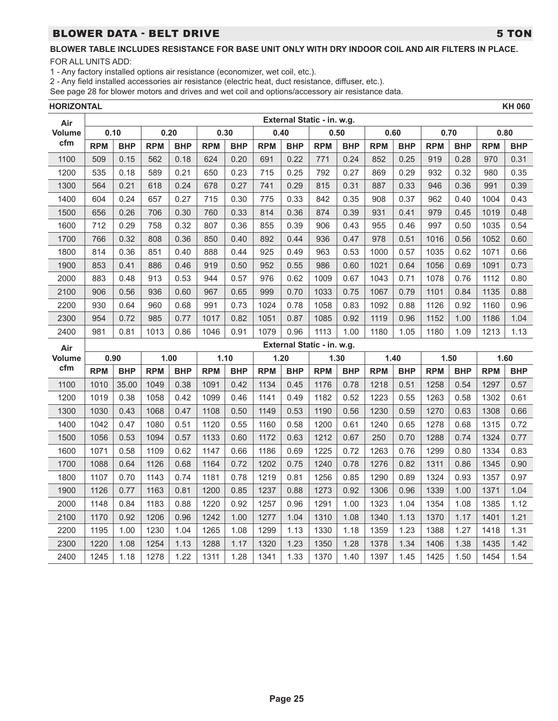## BLOWER DATA - BELT DRIVE **1999 TO 1999 TO 1999 TO 1999 TO 1999 TO 1999**

FOR ALL UNITS ADD:

1 - Any factory installed options air resistance (economizer, wet coil, etc.).

2 - Any field installed accessories air resistance (electric heat, duct resistance, diffuser, etc.).

See page 28 for blower motors and drives and wet coil and options/accessory air resistance data.

**HORIZONTAL KH 060**

| Air           |            |            |            |            |            |            |            |            | External Static - in. w.g. |            |            |            |            |            |            |            |
|---------------|------------|------------|------------|------------|------------|------------|------------|------------|----------------------------|------------|------------|------------|------------|------------|------------|------------|
| <b>Volume</b> |            | 0.10       | 0.20       |            | 0.30       |            | 0.40       |            | 0.50                       |            | 0.60       |            | 0.70       |            | 0.80       |            |
| cfm           | <b>RPM</b> | <b>BHP</b> | <b>RPM</b> | <b>BHP</b> | <b>RPM</b> | <b>BHP</b> | <b>RPM</b> | <b>BHP</b> | <b>RPM</b>                 | <b>BHP</b> | <b>RPM</b> | <b>BHP</b> | <b>RPM</b> | <b>BHP</b> | <b>RPM</b> | <b>BHP</b> |
| 1100          | 509        | 0.15       | 562        | 0.18       | 624        | 0.20       | 691        | 0.22       | 771                        | 0.24       | 852        | 0.25       | 919        | 0.28       | 970        | 0.31       |
| 1200          | 535        | 0.18       | 589        | 0.21       | 650        | 0.23       | 715        | 0.25       | 792                        | 0.27       | 869        | 0.29       | 932        | 0.32       | 980        | 0.35       |
| 1300          | 564        | 0.21       | 618        | 0.24       | 678        | 0.27       | 741        | 0.29       | 815                        | 0.31       | 887        | 0.33       | 946        | 0.36       | 991        | 0.39       |
| 1400          | 604        | 0.24       | 657        | 0.27       | 715        | 0.30       | 775        | 0.33       | 842                        | 0.35       | 908        | 0.37       | 962        | 0.40       | 1004       | 0.43       |
| 1500          | 656        | 0.26       | 706        | 0.30       | 760        | 0.33       | 814        | 0.36       | 874                        | 0.39       | 931        | 0.41       | 979        | 0.45       | 1019       | 0.48       |
| 1600          | 712        | 0.29       | 758        | 0.32       | 807        | 0.36       | 855        | 0.39       | 906                        | 0.43       | 955        | 0.46       | 997        | 0.50       | 1035       | 0.54       |
| 1700          | 766        | 0.32       | 808        | 0.36       | 850        | 0.40       | 892        | 0.44       | 936                        | 0.47       | 978        | 0.51       | 1016       | 0.56       | 1052       | 0.60       |
| 1800          | 814        | 0.36       | 851        | 0.40       | 888        | 0.44       | 925        | 0.49       | 963                        | 0.53       | 1000       | 0.57       | 1035       | 0.62       | 1071       | 0.66       |
| 1900          | 853        | 0.41       | 886        | 0.46       | 919        | 0.50       | 952        | 0.55       | 986                        | 0.60       | 1021       | 0.64       | 1056       | 0.69       | 1091       | 0.73       |
| 2000          | 883        | 0.48       | 913        | 0.53       | 944        | 0.57       | 976        | 0.62       | 1009                       | 0.67       | 1043       | 0.71       | 1078       | 0.76       | 1112       | 0.80       |
| 2100          | 906        | 0.56       | 936        | 0.60       | 967        | 0.65       | 999        | 0.70       | 1033                       | 0.75       | 1067       | 0.79       | 1101       | 0.84       | 1135       | 0.88       |
| 2200          | 930        | 0.64       | 960        | 0.68       | 991        | 0.73       | 1024       | 0.78       | 1058                       | 0.83       | 1092       | 0.88       | 1126       | 0.92       | 1160       | 0.96       |
| 2300          | 954        | 0.72       | 985        | 0.77       | 1017       | 0.82       | 1051       | 0.87       | 1085                       | 0.92       | 1119       | 0.96       | 1152       | 1.00       | 1186       | 1.04       |
| 2400          | 981        | 0.81       | 1013       | 0.86       | 1046       | 0.91       | 1079       | 0.96       | 1113                       | 1.00       | 1180       | 1.05       | 1180       | 1.09       | 1213       | 1.13       |
| Air           |            |            |            |            |            |            |            |            | External Static - in. w.g. |            |            |            |            |            |            |            |
|               |            | 0.90       | 1.00       |            |            | 1.10       |            | 1.20       |                            |            | 1.40       |            |            | 1.50       |            | 1.60       |
| <b>Volume</b> |            |            |            |            |            |            |            |            | 1.30                       |            |            |            |            |            |            |            |
| cfm           | <b>RPM</b> | <b>BHP</b> | <b>RPM</b> | <b>BHP</b> | <b>RPM</b> | <b>BHP</b> | <b>RPM</b> | <b>BHP</b> | <b>RPM</b>                 | <b>BHP</b> | <b>RPM</b> | <b>BHP</b> | <b>RPM</b> | <b>BHP</b> | <b>RPM</b> | <b>BHP</b> |
| 1100          | 1010       | 35.00      | 1049       | 0.38       | 1091       | 0.42       | 1134       | 0.45       | 1176                       | 0.78       | 1218       | 0.51       | 1258       | 0.54       | 1297       | 0.57       |
| 1200          | 1019       | 0.38       | 1058       | 0.42       | 1099       | 0.46       | 1141       | 0.49       | 1182                       | 0.52       | 1223       | 0.55       | 1263       | 0.58       | 1302       | 0.61       |
| 1300          | 1030       | 0.43       | 1068       | 0.47       | 1108       | 0.50       | 1149       | 0.53       | 1190                       | 0.56       | 1230       | 0.59       | 1270       | 0.63       | 1308       | 0.66       |
| 1400          | 1042       | 0.47       | 1080       | 0.51       | 1120       | 0.55       | 1160       | 0.58       | 1200                       | 0.61       | 1240       | 0.65       | 1278       | 0.68       | 1315       | 0.72       |
| 1500          | 1056       | 0.53       | 1094       | 0.57       | 1133       | 0.60       | 1172       | 0.63       | 1212                       | 0.67       | 250        | 0.70       | 1288       | 0.74       | 1324       | 0.77       |
| 1600          | 1071       | 0.58       | 1109       | 0.62       | 1147       | 0.66       | 1186       | 0.69       | 1225                       | 0.72       | 1263       | 0.76       | 1299       | 0.80       | 1334       | 0.83       |
| 1700          | 1088       | 0.64       | 1126       | 0.68       | 1164       | 0.72       | 1202       | 0.75       | 1240                       | 0.78       | 1276       | 0.82       | 1311       | 0.86       | 1345       | 0.90       |
| 1800          | 1107       | 0.70       | 1143       | 0.74       | 1181       | 0.78       | 1219       | 0.81       | 1256                       | 0.85       | 1290       | 0.89       | 1324       | 0.93       | 1357       | 0.97       |
| 1900          | 1126       | 0.77       | 1163       | 0.81       | 1200       | 0.85       | 1237       | 0.88       | 1273                       | 0.92       | 1306       | 0.96       | 1339       | 1.00       | 1371       | 1.04       |
| 2000          | 1148       | 0.84       | 1183       | 0.88       | 1220       | 0.92       | 1257       | 0.96       | 1291                       | 1.00       | 1323       | 1.04       | 1354       | 1.08       | 1385       | 1.12       |
| 2100          | 1170       | 0.92       | 1206       | 0.96       | 1242       | 1.00       | 1277       | 1.04       | 1310                       | 1.08       | 1340       | 1.13       | 1370       | 1.17       | 1401       | 1.21       |
| 2200          | 1195       | 1.00       | 1230       | 1.04       | 1265       | 1.08       | 1299       | 1.13       | 1330                       | 1.18       | 1359       | 1.23       | 1388       | 1.27       | 1418       | 1.31       |
| 2300          | 1220       | 1.08       | 1254       | 1.13       | 1288       | 1.17       | 1320       | 1.23       | 1350                       | 1.28       | 1378       | 1.34       | 1406       | 1.38       | 1435       | 1.42       |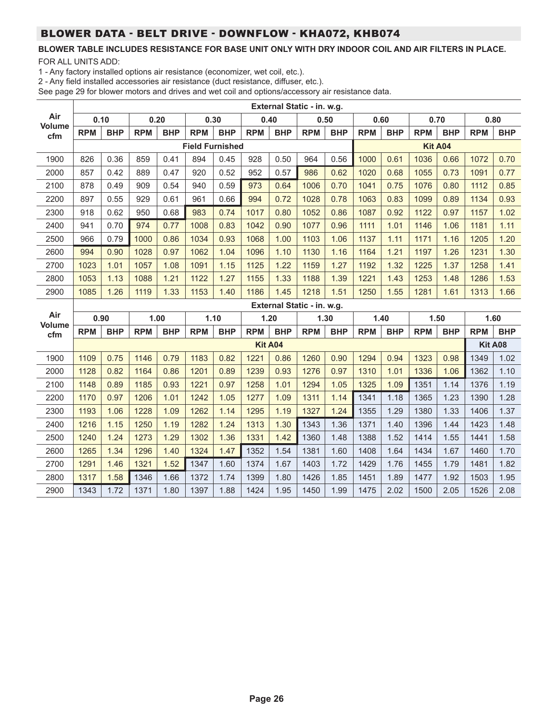# BLOWER DATA - BELT DRIVE - DOWNFLOW - KHA072, KHB074

### **BLOWER TABLE INCLUDES RESISTANCE FOR BASE UNIT ONLY WITH DRY INDOOR COIL AND AIR FILTERS IN PLACE.**

FOR ALL UNITS ADD:

1 - Any factory installed options air resistance (economizer, wet coil, etc.).

2 - Any field installed accessories air resistance (duct resistance, diffuser, etc.).

|                      |            |            |            |            |                        |            |            |                | External Static - in. w.g. |            |            |            |            |            |                |            |
|----------------------|------------|------------|------------|------------|------------------------|------------|------------|----------------|----------------------------|------------|------------|------------|------------|------------|----------------|------------|
| Air                  |            | 0.10       | 0.20       |            |                        | 0.30       |            | 0.40           | 0.50                       |            | 0.60       |            | 0.70       |            |                | 0.80       |
| <b>Volume</b><br>cfm | <b>RPM</b> | <b>BHP</b> | <b>RPM</b> | <b>BHP</b> | <b>RPM</b>             | <b>BHP</b> | <b>RPM</b> | <b>BHP</b>     | <b>RPM</b>                 | <b>BHP</b> | <b>RPM</b> | <b>BHP</b> | <b>RPM</b> | <b>BHP</b> | <b>RPM</b>     | <b>BHP</b> |
|                      |            |            |            |            | <b>Field Furnished</b> |            |            |                |                            |            |            |            |            | Kit A04    |                |            |
| 1900                 | 826        | 0.36       | 859        | 0.41       | 894                    | 0.45       | 928        | 0.50           | 964                        | 0.56       | 1000       | 0.61       | 1036       | 0.66       | 1072           | 0.70       |
| 2000                 | 857        | 0.42       | 889        | 0.47       | 920                    | 0.52       | 952        | 0.57           | 986                        | 0.62       | 1020       | 0.68       | 1055       | 0.73       | 1091           | 0.77       |
| 2100                 | 878        | 0.49       | 909        | 0.54       | 940                    | 0.59       | 973        | 0.64           | 1006                       | 0.70       | 1041       | 0.75       | 1076       | 0.80       | 1112           | 0.85       |
| 2200                 | 897        | 0.55       | 929        | 0.61       | 961                    | 0.66       | 994        | 0.72           | 1028                       | 0.78       | 1063       | 0.83       | 1099       | 0.89       | 1134           | 0.93       |
| 2300                 | 918        | 0.62       | 950        | 0.68       | 983                    | 0.74       | 1017       | 0.80           | 1052                       | 0.86       | 1087       | 0.92       | 1122       | 0.97       | 1157           | 1.02       |
| 2400                 | 941        | 0.70       | 974        | 0.77       | 1008                   | 0.83       | 1042       | 0.90           | 1077                       | 0.96       | 1111       | 1.01       | 1146       | 1.06       | 1181           | 1.11       |
| 2500                 | 966        | 0.79       | 1000       | 0.86       | 1034                   | 0.93       | 1068       | 1.00           | 1103                       | 1.06       | 1137       | 1.11       | 1171       | 1.16       | 1205           | 1.20       |
| 2600                 | 994        | 0.90       | 1028       | 0.97       | 1062                   | 1.04       | 1096       | 1.10           | 1130                       | 1.16       | 1164       | 1.21       | 1197       | 1.26       | 1231           | 1.30       |
| 2700                 | 1023       | 1.01       | 1057       | 1.08       | 1091                   | 1.15       | 1125       | 1.22           | 1159                       | 1.27       | 1192       | 1.32       | 1225       | 1.37       | 1258           | 1.41       |
| 2800                 | 1053       | 1.13       | 1088       | 1.21       | 1122                   | 1.27       | 1155       | 1.33           | 1188                       | 1.39       | 1221       | 1.43       | 1253       | 1.48       | 1286           | 1.53       |
| 2900                 | 1085       | 1.26       | 1119       | 1.33       | 1153                   | 1.40       | 1186       | 1.45           | 1218                       | 1.51       | 1250       | 1.55       | 1281       | 1.61       | 1313           | 1.66       |
|                      |            |            |            |            |                        |            |            |                |                            |            |            |            |            |            |                |            |
|                      |            |            |            |            |                        |            |            |                | External Static - in. w.g. |            |            |            |            |            |                |            |
| Air                  |            | 0.90       |            | 1.00       |                        | 1.10       |            | 1.20           | 1.30                       |            | 1.40       |            |            | 1.50       |                | 1.60       |
| <b>Volume</b><br>cfm | <b>RPM</b> | <b>BHP</b> | <b>RPM</b> | <b>BHP</b> | <b>RPM</b>             | <b>BHP</b> | <b>RPM</b> | <b>BHP</b>     | <b>RPM</b>                 | <b>BHP</b> | <b>RPM</b> | <b>BHP</b> | <b>RPM</b> | <b>BHP</b> | <b>RPM</b>     | <b>BHP</b> |
|                      |            |            |            |            |                        |            |            | <b>Kit A04</b> |                            |            |            |            |            |            | <b>Kit A08</b> |            |
| 1900                 | 1109       | 0.75       | 1146       | 0.79       | 1183                   | 0.82       | 1221       | 0.86           | 1260                       | 0.90       | 1294       | 0.94       | 1323       | 0.98       | 1349           | 1.02       |
| 2000                 | 1128       | 0.82       | 1164       | 0.86       | 1201                   | 0.89       | 1239       | 0.93           | 1276                       | 0.97       | 1310       | 1.01       | 1336       | 1.06       | 1362           | 1.10       |
| 2100                 | 1148       | 0.89       | 1185       | 0.93       | 1221                   | 0.97       | 1258       | 1.01           | 1294                       | 1.05       | 1325       | 1.09       | 1351       | 1.14       | 1376           | 1.19       |
| 2200                 | 1170       | 0.97       | 1206       | 1.01       | 1242                   | 1.05       | 1277       | 1.09           | 1311                       | 1.14       | 1341       | 1.18       | 1365       | 1.23       | 1390           | 1.28       |
| 2300                 | 1193       | 1.06       | 1228       | 1.09       | 1262                   | 1.14       | 1295       | 1.19           | 1327                       | 1.24       | 1355       | 1.29       | 1380       | 1.33       | 1406           | 1.37       |
| 2400                 | 1216       | 1.15       | 1250       | 1.19       | 1282                   | 1.24       | 1313       | 1.30           | 1343                       | 1.36       | 1371       | 1.40       | 1396       | 1.44       | 1423           | 1.48       |
| 2500                 | 1240       | 1.24       | 1273       | 1.29       | 1302                   | 1.36       | 1331       | 1.42           | 1360                       | 1.48       | 1388       | 1.52       | 1414       | 1.55       | 1441           | 1.58       |
| 2600                 | 1265       | 1.34       | 1296       | 1.40       | 1324                   | 1.47       | 1352       | 1.54           | 1381                       | 1.60       | 1408       | 1.64       | 1434       | 1.67       | 1460           | 1.70       |
| 2700                 | 1291       | 1.46       | 1321       | 1.52       | 1347                   | 1.60       | 1374       | 1.67           | 1403                       | 1.72       | 1429       | 1.76       | 1455       | 1.79       | 1481           | 1.82       |
| 2800                 | 1317       | 1.58       | 1346       | 1.66       | 1372                   | 1.74       | 1399       | 1.80           | 1426                       | 1.85       | 1451       | 1.89       | 1477       | 1.92       | 1503           | 1.95       |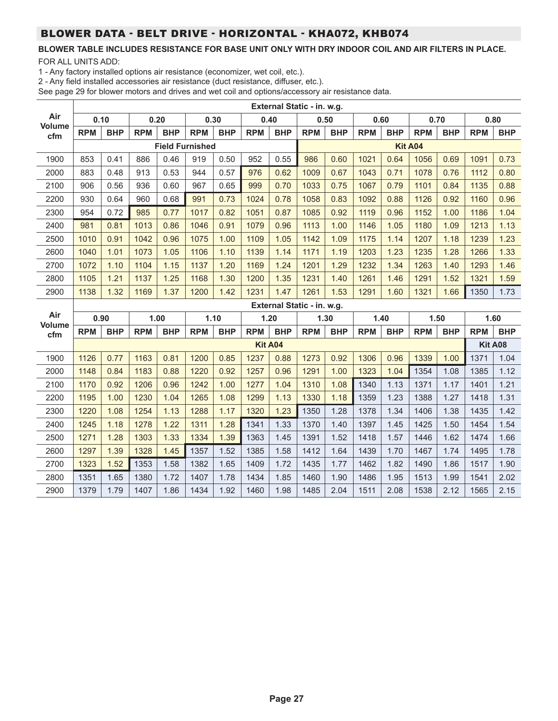# BLOWER DATA - BELT DRIVE - HORIZONTAL - KHA072, KHB074

# **BLOWER TABLE INCLUDES RESISTANCE FOR BASE UNIT ONLY WITH DRY INDOOR COIL AND AIR FILTERS IN PLACE.**

FOR ALL UNITS ADD:

1 - Any factory installed options air resistance (economizer, wet coil, etc.).

2 - Any field installed accessories air resistance (duct resistance, diffuser, etc.).

|                      |            |            |            |            |                        |            |            |                | External Static - in. w.g. |            |            |            |            |            |            |            |
|----------------------|------------|------------|------------|------------|------------------------|------------|------------|----------------|----------------------------|------------|------------|------------|------------|------------|------------|------------|
| Air<br><b>Volume</b> |            | 0.10       |            | 0.20       |                        | 0.30       | 0.40       |                | 0.50                       |            | 0.60       |            | 0.70       |            |            | 0.80       |
| cfm                  | <b>RPM</b> | <b>BHP</b> | <b>RPM</b> | <b>BHP</b> | <b>RPM</b>             | <b>BHP</b> | <b>RPM</b> | <b>BHP</b>     | <b>RPM</b>                 | <b>BHP</b> | <b>RPM</b> | <b>BHP</b> | <b>RPM</b> | <b>BHP</b> | <b>RPM</b> | <b>BHP</b> |
|                      |            |            |            |            | <b>Field Furnished</b> |            |            |                |                            |            |            |            | Kit A04    |            |            |            |
| 1900                 | 853        | 0.41       | 886        | 0.46       | 919                    | 0.50       | 952        | 0.55           | 986                        | 0.60       | 1021       | 0.64       | 1056       | 0.69       | 1091       | 0.73       |
| 2000                 | 883        | 0.48       | 913        | 0.53       | 944                    | 0.57       | 976        | 0.62           | 1009                       | 0.67       | 1043       | 0.71       | 1078       | 0.76       | 1112       | 0.80       |
| 2100                 | 906        | 0.56       | 936        | 0.60       | 967                    | 0.65       | 999        | 0.70           | 1033                       | 0.75       | 1067       | 0.79       | 1101       | 0.84       | 1135       | 0.88       |
| 2200                 | 930        | 0.64       | 960        | 0.68       | 991                    | 0.73       | 1024       | 0.78           | 1058                       | 0.83       | 1092       | 0.88       | 1126       | 0.92       | 1160       | 0.96       |
| 2300                 | 954        | 0.72       | 985        | 0.77       | 1017                   | 0.82       | 1051       | 0.87           | 1085                       | 0.92       | 1119       | 0.96       | 1152       | 1.00       | 1186       | 1.04       |
| 2400                 | 981        | 0.81       | 1013       | 0.86       | 1046                   | 0.91       | 1079       | 0.96           | 1113                       | 1.00       | 1146       | 1.05       | 1180       | 1.09       | 1213       | 1.13       |
| 2500                 | 1010       | 0.91       | 1042       | 0.96       | 1075                   | 1.00       | 1109       | 1.05           | 1142                       | 1.09       | 1175       | 1.14       | 1207       | 1.18       | 1239       | 1.23       |
| 2600                 | 1040       | 1.01       | 1073       | 1.05       | 1106                   | 1.10       | 1139       | 1.14           | 1171                       | 1.19       | 1203       | 1.23       | 1235       | 1.28       | 1266       | 1.33       |
| 2700                 | 1072       | 1.10       | 1104       | 1.15       | 1137                   | 1.20       | 1169       | 1.24           | 1201                       | 1.29       | 1232       | 1.34       | 1263       | 1.40       | 1293       | 1.46       |
| 2800                 | 1105       | 1.21       | 1137       | 1.25       | 1168                   | 1.30       | 1200       | 1.35           | 1231                       | 1.40       | 1261       | 1.46       | 1291       | 1.52       | 1321       | 1.59       |
| 2900                 | 1138       | 1.32       | 1169       | 1.37       | 1200                   | 1.42       | 1231       | 1.47           | 1261                       | 1.53       | 1291       | 1.60       | 1321       | 1.66       | 1350       | 1.73       |
|                      |            |            |            |            |                        |            |            |                |                            |            |            |            |            |            |            |            |
|                      |            |            |            |            |                        |            |            |                | External Static - in. w.g. |            |            |            |            |            |            |            |
| Air                  |            | 0.90       |            | 1.00       |                        | 1.10       |            | 1.20           | 1.30                       |            | 1.40       |            |            | 1.50       |            | 1.60       |
| <b>Volume</b><br>cfm | <b>RPM</b> | <b>BHP</b> | <b>RPM</b> | <b>BHP</b> | <b>RPM</b>             | <b>BHP</b> | <b>RPM</b> | <b>BHP</b>     | <b>RPM</b>                 | <b>BHP</b> | <b>RPM</b> | <b>BHP</b> | <b>RPM</b> | <b>BHP</b> | <b>RPM</b> | <b>BHP</b> |
|                      |            |            |            |            |                        |            |            | <b>Kit A04</b> |                            |            |            |            |            |            | Kit A08    |            |
| 1900                 | 1126       | 0.77       | 1163       | 0.81       | 1200                   | 0.85       | 1237       | 0.88           | 1273                       | 0.92       | 1306       | 0.96       | 1339       | 1.00       | 1371       | 1.04       |
| 2000                 | 1148       | 0.84       | 1183       | 0.88       | 1220                   | 0.92       | 1257       | 0.96           | 1291                       | 1.00       | 1323       | 1.04       | 1354       | 1.08       | 1385       | 1.12       |
| 2100                 | 1170       | 0.92       | 1206       | 0.96       | 1242                   | 1.00       | 1277       | 1.04           | 1310                       | 1.08       | 1340       | 1.13       | 1371       | 1.17       | 1401       | 1.21       |
| 2200                 | 1195       | 1.00       | 1230       | 1.04       | 1265                   | 1.08       | 1299       | 1.13           | 1330                       | 1.18       | 1359       | 1.23       | 1388       | 1.27       | 1418       | 1.31       |
| 2300                 | 1220       | 1.08       | 1254       | 1.13       | 1288                   | 1.17       | 1320       | 1.23           | 1350                       | 1.28       | 1378       | 1.34       | 1406       | 1.38       | 1435       | 1.42       |
| 2400                 | 1245       | 1.18       | 1278       | 1.22       | 1311                   | 1.28       | 1341       | 1.33           | 1370                       | 1.40       | 1397       | 1.45       | 1425       | 1.50       | 1454       | 1.54       |
| 2500                 | 1271       | 1.28       | 1303       | 1.33       | 1334                   | 1.39       | 1363       | 1.45           | 1391                       | 1.52       | 1418       | 1.57       | 1446       | 1.62       | 1474       | 1.66       |
| 2600                 | 1297       | 1.39       | 1328       | 1.45       | 1357                   | 1.52       | 1385       | 1.58           | 1412                       | 1.64       | 1439       | 1.70       | 1467       | 1.74       | 1495       | 1.78       |
| 2700                 | 1323       | 1.52       | 1353       | 1.58       | 1382                   | 1.65       | 1409       | 1.72           | 1435                       | 1.77       | 1462       | 1.82       | 1490       | 1.86       | 1517       | 1.90       |
| 2800                 | 1351       | 1.65       | 1380       | 1.72       | 1407                   | 1.78       | 1434       | 1.85           | 1460                       | 1.90       | 1486       | 1.95       | 1513       | 1.99       | 1541       | 2.02       |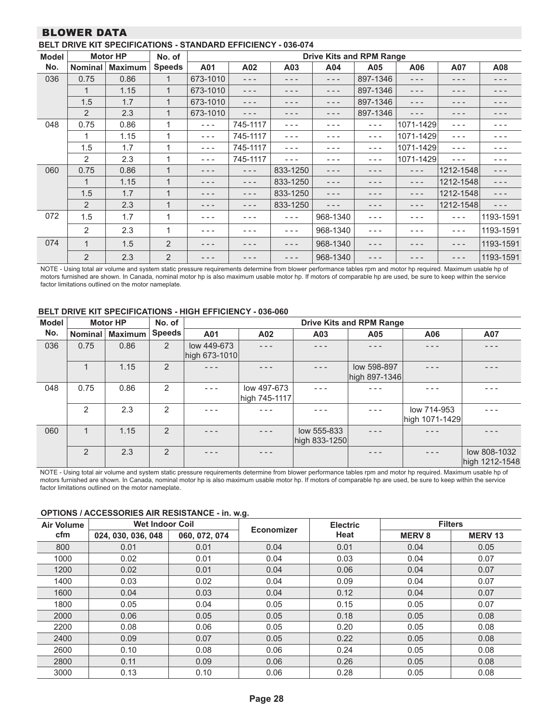### BLOWER DATA

| <b>Model</b> |                | <b>Motor HP</b> | No. of         |          |          |          |          | <b>Drive Kits and RPM Range</b> |           |           |           |
|--------------|----------------|-----------------|----------------|----------|----------|----------|----------|---------------------------------|-----------|-----------|-----------|
| No.          | <b>Nominal</b> | <b>Maximum</b>  | <b>Speeds</b>  | A01      | A02      | A03      | A04      | A05                             | A06       | A07       | A08       |
| 036          | 0.75           | 0.86            | 1              | 673-1010 | $- - -$  | - - -    | $- - -$  | 897-1346                        | - - -     | - - -     | - - -     |
|              | 1              | 1.15            | 1              | 673-1010 | $- - -$  | - - -    | - - -    | 897-1346                        | - - -     | - - -     | - - -     |
|              | 1.5            | 1.7             | 1              | 673-1010 | $- - -$  | - - -    | $- - -$  | 897-1346                        | - - -     | - - -     | - - -     |
|              | $\overline{2}$ | 2.3             | 1              | 673-1010 | - - -    | - - -    | - - -    | 897-1346                        | - - -     | - - -     | - - -     |
| 048          | 0.75           | 0.86            | 1              | $- - -$  | 745-1117 | - - -    | ---      | $- - -$                         | 1071-1429 | $- - -$   | - - -     |
|              | 1              | 1.15            | 1              | $- - -$  | 745-1117 | $- - -$  | - - -    | $- - -$                         | 1071-1429 | $- - -$   |           |
|              | 1.5            | 1.7             | 1              | $- - -$  | 745-1117 | $- - -$  | - - -    | $- - -$                         | 1071-1429 | $- - -$   | - - -     |
|              | 2              | 2.3             | 1              | - - -    | 745-1117 | - - -    | - - -    | ---                             | 1071-1429 | - - -     |           |
| 060          | 0.75           | 0.86            | $\mathbf{1}$   |          | $- - -$  | 833-1250 | - - -    | - - -                           | ---       | 1212-1548 | - - -     |
|              | 1              | 1.15            | 1              |          | $- - -$  | 833-1250 | - - -    | - - -                           | - - -     | 1212-1548 | $- - -$   |
|              | 1.5            | 1.7             |                |          | - - -    | 833-1250 | ---      | - - -                           | - - -     | 1212-1548 | $- - -$   |
|              | 2              | 2.3             | $\mathbf 1$    |          |          | 833-1250 | - - -    |                                 | - - -     | 1212-1548 | - - -     |
| 072          | 1.5            | 1.7             | 1              |          |          | $- - -$  | 968-1340 | - - -                           |           | $- - -$   | 1193-1591 |
|              | $\overline{2}$ | 2.3             | 1              |          |          | $- - -$  | 968-1340 | - - -                           |           | $- - -$   | 1193-1591 |
| 074          | $\mathbf 1$    | 1.5             | $\overline{2}$ |          |          |          | 968-1340 | - - -                           |           | - - -     | 1193-1591 |
|              | 2              | 2.3             | 2              |          |          | - - -    | 968-1340 | - - -                           |           | - - -     | 1193-1591 |

NOTE - Using total air volume and system static pressure requirements determine from blower performance tables rpm and motor hp required. Maximum usable hp of motors furnished are shown. In Canada, nominal motor hp is also maximum usable motor hp. If motors of comparable hp are used, be sure to keep within the service factor limitations outlined on the motor nameplate.

#### **BELT DRIVE KIT SPECIFICATIONS - HIGH EFFICIENCY - 036-060**

| <b>Model</b> |                | <b>Motor HP</b> | No. of         |                              |                              |                              | <b>Drive Kits and RPM Range</b> |                               |                                |
|--------------|----------------|-----------------|----------------|------------------------------|------------------------------|------------------------------|---------------------------------|-------------------------------|--------------------------------|
| No.          | <b>Nominal</b> | <b>Maximum</b>  | Speeds         | A01                          | A02                          | A03                          | A05                             | A06                           | A07                            |
| 036          | 0.75           | 0.86            | $\overline{2}$ | low 449-673<br>high 673-1010 |                              |                              | - - -                           |                               |                                |
|              | 1              | 1.15            | 2              |                              |                              | - - -                        | low 598-897<br>high 897-1346    |                               |                                |
| 048          | 0.75           | 0.86            | 2              |                              | low 497-673<br>high 745-1117 |                              |                                 |                               |                                |
|              | $\mathfrak{p}$ | 2.3             | $\mathcal{P}$  |                              |                              |                              |                                 | low 714-953<br>high 1071-1429 |                                |
| 060          | $\overline{1}$ | 1.15            | 2              |                              |                              | low 555-833<br>high 833-1250 |                                 |                               |                                |
|              | $\mathcal{P}$  | 2.3             | $\overline{2}$ |                              |                              |                              | .                               |                               | low 808-1032<br>high 1212-1548 |

NOTE - Using total air volume and system static pressure requirements determine from blower performance tables rpm and motor hp required. Maximum usable hp of motors furnished are shown. In Canada, nominal motor hp is also maximum usable motor hp. If motors of comparable hp are used, be sure to keep within the service factor limitations outlined on the motor nameplate.

#### **OPTIONS / ACCESSORIES AIR RESISTANCE - in. w.g.**

| Air Volume | <b>Wet Indoor Coil</b> |               | Economizer | <b>Electric</b> |               | <b>Filters</b> |
|------------|------------------------|---------------|------------|-----------------|---------------|----------------|
| cfm        | 024, 030, 036, 048     | 060, 072, 074 |            | Heat            | <b>MERV 8</b> | <b>MERV13</b>  |
| 800        | 0.01                   | 0.01          | 0.04       | 0.01            | 0.04          | 0.05           |
| 1000       | 0.02                   | 0.01          | 0.04       | 0.03            | 0.04          | 0.07           |
| 1200       | 0.02                   | 0.01          | 0.04       | 0.06            | 0.04          | 0.07           |
| 1400       | 0.03                   | 0.02          | 0.04       | 0.09            | 0.04          | 0.07           |
| 1600       | 0.04                   | 0.03          | 0.04       | 0.12            | 0.04          | 0.07           |
| 1800       | 0.05                   | 0.04          | 0.05       | 0.15            | 0.05          | 0.07           |
| 2000       | 0.06                   | 0.05          | 0.05       | 0.18            | 0.05          | 0.08           |
| 2200       | 0.08                   | 0.06          | 0.05       | 0.20            | 0.05          | 0.08           |
| 2400       | 0.09                   | 0.07          | 0.05       | 0.22            | 0.05          | 0.08           |
| 2600       | 0.10                   | 0.08          | 0.06       | 0.24            | 0.05          | 0.08           |
| 2800       | 0.11                   | 0.09          | 0.06       | 0.26            | 0.05          | 0.08           |
| 3000       | 0.13                   | 0.10          | 0.06       | 0.28            | 0.05          | 0.08           |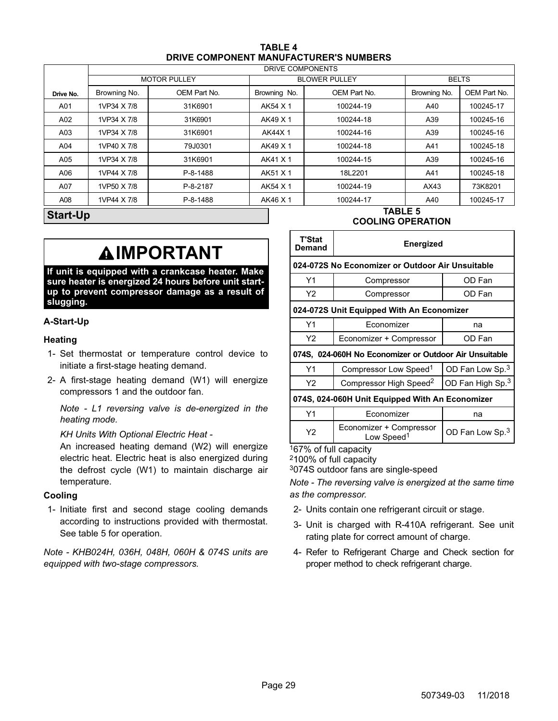| TABLE 4                                       |  |
|-----------------------------------------------|--|
| <b>DRIVE COMPONENT MANUFACTURER'S NUMBERS</b> |  |

<span id="page-28-0"></span>

|           |                         |                     |              | DRIVE COMPONENTS     |              |              |  |  |  |  |
|-----------|-------------------------|---------------------|--------------|----------------------|--------------|--------------|--|--|--|--|
|           |                         | <b>MOTOR PULLEY</b> |              | <b>BLOWER PULLEY</b> |              | <b>BELTS</b> |  |  |  |  |
| Drive No. | Browning No.            | OEM Part No.        | Browning No. | OEM Part No.         | Browning No. | OEM Part No. |  |  |  |  |
| A01       | 1VP34 X 7/8             | 31K6901             | AK54 X 1     | 100244-19            | A40          | 100245-17    |  |  |  |  |
| A02       | 1VP34 X 7/8             | 31K6901             | AK49 X 1     | 100244-18            | A39          | 100245-16    |  |  |  |  |
| A03       | 31K6901<br>1VP34 X 7/8  |                     | AK44X1       | 100244-16            |              | 100245-16    |  |  |  |  |
| A04       | 1VP40 X 7/8             | 79J0301             | AK49 X 1     | 100244-18            | A41          | 100245-18    |  |  |  |  |
| A05       | 1VP34 X 7/8             | 31K6901             | AK41 X 1     | 100244-15            |              | 100245-16    |  |  |  |  |
| A06       | 1VP44 X 7/8             | P-8-1488            | AK51 X 1     | 18L2201              | A41          | 100245-18    |  |  |  |  |
| A07       | 1VP50 X 7/8<br>P-8-2187 |                     | AK54 X 1     | 100244-19            |              | 73K8201      |  |  |  |  |
| A08       | 1VP44 X 7/8             | P-8-1488            | AK46 X 1     | 100244-17            | A40          | 100245-17    |  |  |  |  |
| Start-Un  |                         |                     |              | <b>TABLE 5</b>       |              |              |  |  |  |  |

**Start-Up**

# **IMPORTANT**

**If unit is equipped with a crankcase heater. Make sure heater is energized 24 hours before unit startup to prevent compressor damage as a result of slugging.**

#### **A-Start-Up**

#### **Heating**

- 1- Set thermostat or temperature control device to initiate a first-stage heating demand.
- 2- A first-stage heating demand (W1) will energize compressors 1 and the outdoor fan.

*Note - L1 reversing valve is de-energized in the heating mode.*

*KH Units With Optional Electric Heat -*

An increased heating demand (W2) will energize electric heat. Electric heat is also energized during the defrost cycle (W1) to maintain discharge air temperature.

#### **Cooling**

1- Initiate first and second stage cooling demands according to instructions provided with thermostat. See table 5 for operation.

*Note - KHB024H, 036H, 048H, 060H & 074S units are equipped with two-stage compressors.*

# **COOLING OPERATION**

| T'Stat<br>Demand                                 | <b>Energized</b>                                       |                              |  |  |  |  |  |  |  |  |  |
|--------------------------------------------------|--------------------------------------------------------|------------------------------|--|--|--|--|--|--|--|--|--|
| 024-072S No Economizer or Outdoor Air Unsuitable |                                                        |                              |  |  |  |  |  |  |  |  |  |
| Y1                                               | Compressor                                             | OD Fan                       |  |  |  |  |  |  |  |  |  |
| Y2                                               | Compressor                                             | OD Fan                       |  |  |  |  |  |  |  |  |  |
| 024-072S Unit Equipped With An Economizer        |                                                        |                              |  |  |  |  |  |  |  |  |  |
| Υ1                                               | Economizer<br>na                                       |                              |  |  |  |  |  |  |  |  |  |
| Y2                                               | Economizer + Compressor                                | OD Fan                       |  |  |  |  |  |  |  |  |  |
|                                                  | 074S, 024-060H No Economizer or Outdoor Air Unsuitable |                              |  |  |  |  |  |  |  |  |  |
| Y1                                               | Compressor Low Speed <sup>1</sup>                      | OD Fan Low Sp. <sup>3</sup>  |  |  |  |  |  |  |  |  |  |
| Y2                                               | Compressor High Speed <sup>2</sup>                     | OD Fan High Sp. <sup>3</sup> |  |  |  |  |  |  |  |  |  |
|                                                  | 074S, 024-060H Unit Equipped With An Economizer        |                              |  |  |  |  |  |  |  |  |  |
| Y1                                               | Economizer                                             | na                           |  |  |  |  |  |  |  |  |  |
| Y2                                               | Economizer + Compressor<br>Low Speed <sup>1</sup>      | OD Fan Low Sp. <sup>3</sup>  |  |  |  |  |  |  |  |  |  |

167% of full capacity

2100% of full capacity

3074S outdoor fans are single-speed

*Note - The reversing valve is energized at the same time as the compressor.*

- 2- Units contain one refrigerant circuit or stage.
- 3- Unit is charged with R-410A refrigerant. See unit rating plate for correct amount of charge.
- 4- Refer to Refrigerant Charge and Check section for proper method to check refrigerant charge.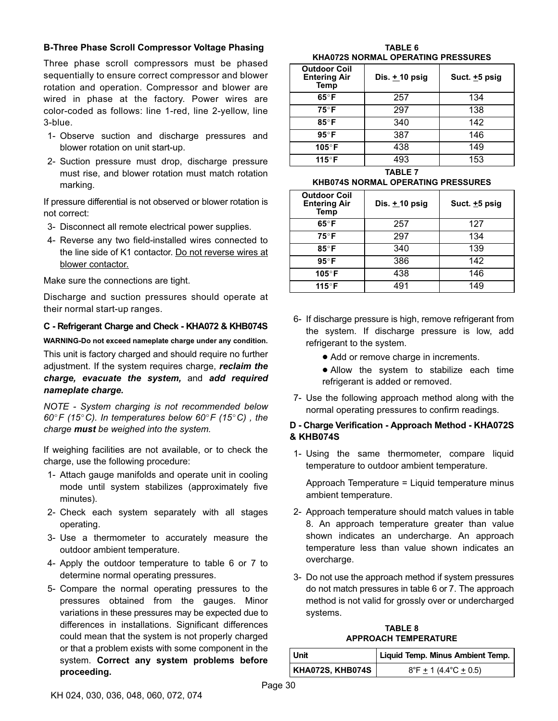#### **B-Three Phase Scroll Compressor Voltage Phasing**

Three phase scroll compressors must be phased sequentially to ensure correct compressor and blower rotation and operation. Compressor and blower are wired in phase at the factory. Power wires are color-coded as follows: line 1-red, line 2-yellow, line 3-blue.

- 1- Observe suction and discharge pressures and blower rotation on unit start-up.
- 2- Suction pressure must drop, discharge pressure must rise, and blower rotation must match rotation marking.

If pressure differential is not observed or blower rotation is not correct:

- 3- Disconnect all remote electrical power supplies.
- 4- Reverse any two field-installed wires connected to the line side of K1 contactor. Do not reverse wires at blower contactor.

Make sure the connections are tight.

Discharge and suction pressures should operate at their normal start‐up ranges.

#### **C - Refrigerant Charge and Check - KHA072 & KHB074S**

**WARNING-Do not exceed nameplate charge under any condition.**

This unit is factory charged and should require no further adjustment. If the system requires charge, *reclaim the charge, evacuate the system,* and *add required nameplate charge.*

*NOTE - System charging is not recommended below 60F (15C). In temperatures below 60F (15C) , the charge must be weighed into the system.*

If weighing facilities are not available, or to check the charge, use the following procedure:

- 1- Attach gauge manifolds and operate unit in cooling mode until system stabilizes (approximately five minutes).
- 2- Check each system separately with all stages operating.
- 3- Use a thermometer to accurately measure the outdoor ambient temperature.
- 4- Apply the outdoor temperature to table 6 or 7 to determine normal operating pressures.
- 5- Compare the normal operating pressures to the pressures obtained from the gauges. Minor variations in these pressures may be expected due to differences in installations. Significant differences could mean that the system is not properly charged or that a problem exists with some component in the system. **Correct any system problems before proceeding.**

**TABLE 6 KHA072S NORMAL OPERATING PRESSURES**

| <b>Outdoor Coil</b><br><b>Entering Air</b><br>Temp | Dis. $+$ 10 psig | Suct. $\pm 5$ psig |
|----------------------------------------------------|------------------|--------------------|
| 65°F                                               | 257              | 134                |
| 75°F                                               | 297              | 138                |
| 85°F                                               | 340              | 142                |
| $95^\circ$ F                                       | 387              | 146                |
| 105°F                                              | 438              | 149                |
| 115°F                                              | 493              | 153                |

**TABLE 7 KHB074S NORMAL OPERATING PRESSURES**

| <b>Outdoor Coil</b><br><b>Entering Air</b><br>Temp | Dis. $+10$ psig | Suct. $\pm 5$ psig |  |  |  |  |
|----------------------------------------------------|-----------------|--------------------|--|--|--|--|
| $65^\circ F$                                       | 257             | 127                |  |  |  |  |
| $75^{\circ}$ F                                     | 297             | 134                |  |  |  |  |
| 85°F                                               | 340             | 139                |  |  |  |  |
| $95^\circ$ F                                       | 386             | 142                |  |  |  |  |
| 105°F                                              | 438             | 146                |  |  |  |  |
| 115°F                                              | 491             | 149                |  |  |  |  |

- 6- If discharge pressure is high, remove refrigerant from the system. If discharge pressure is low, add refrigerant to the system.
	- Add or remove charge in increments.

 Allow the system to stabilize each time refrigerant is added or removed.

7- Use the following approach method along with the normal operating pressures to confirm readings.

#### **D - Charge Verification - Approach Method - KHA072S & KHB074S**

1- Using the same thermometer, compare liquid temperature to outdoor ambient temperature.

Approach Temperature = Liquid temperature minus ambient temperature.

- 2- Approach temperature should match values in table 8. An approach temperature greater than value shown indicates an undercharge. An approach temperature less than value shown indicates an overcharge.
- 3- Do not use the approach method if system pressures do not match pressures in table 6 or 7. The approach method is not valid for grossly over or undercharged systems.

**TABLE 8 APPROACH TEMPERATURE**

| Unit             | Liquid Temp. Minus Ambient Temp.           |
|------------------|--------------------------------------------|
| KHA072S, KHB074S | $8^{\circ}$ F + 1 (4.4 $^{\circ}$ C + 0.5) |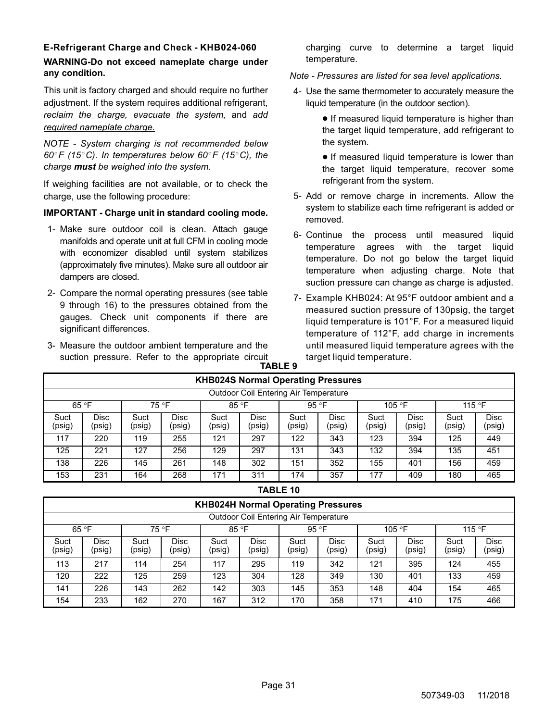# **E-Refrigerant Charge and Check - KHB024-060**

### **WARNING-Do not exceed nameplate charge under any condition.**

This unit is factory charged and should require no further adjustment. If the system requires additional refrigerant, *reclaim the charge, evacuate the system,* and *add required nameplate charge.*

*NOTE - System charging is not recommended below 60F (15C). In temperatures below 60F (15C), the charge must be weighed into the system.*

If weighing facilities are not available, or to check the charge, use the following procedure:

## **IMPORTANT - Charge unit in standard cooling mode.**

- 1- Make sure outdoor coil is clean. Attach gauge manifolds and operate unit at full CFM in cooling mode with economizer disabled until system stabilizes (approximately five minutes). Make sure all outdoor air dampers are closed.
- 2- Compare the normal operating pressures (see table 9 through [16](#page-32-0)) to the pressures obtained from the gauges. Check unit components if there are significant differences.
- 3- Measure the outdoor ambient temperature and the suction pressure. Refer to the appropriate circuit **TABLE 9**

charging curve to determine a target liquid temperature.

*Note - Pressures are listed for sea level applications.*

- 4- Use the same thermometer to accurately measure the liquid temperature (in the outdoor section).
	- **•** If measured liquid temperature is higher than the target liquid temperature, add refrigerant to the system.

**•** If measured liquid temperature is lower than the target liquid temperature, recover some refrigerant from the system.

- 5- Add or remove charge in increments. Allow the system to stabilize each time refrigerant is added or removed.
- 6- Continue the process until measured liquid temperature agrees with the target liquid temperature. Do not go below the target liquid temperature when adjusting charge. Note that suction pressure can change as charge is adjusted.
- 7- Example KHB024: At 95°F outdoor ambient and a measured suction pressure of 130psig, the target liquid temperature is 101°F. For a measured liquid temperature of 112°F, add charge in increments until measured liquid temperature agrees with the target liquid temperature.

|                                       | <b>KHB024S Normal Operating Pressures</b>                              |                |                       |                |                       |                |                       |                |                       |                |                       |  |  |  |
|---------------------------------------|------------------------------------------------------------------------|----------------|-----------------------|----------------|-----------------------|----------------|-----------------------|----------------|-----------------------|----------------|-----------------------|--|--|--|
| Outdoor Coil Entering Air Temperature |                                                                        |                |                       |                |                       |                |                       |                |                       |                |                       |  |  |  |
|                                       | 85 °F<br>75 °F<br>95 °F<br>65 °F<br>105 $\degree$ F<br>115 $\degree$ F |                |                       |                |                       |                |                       |                |                       |                |                       |  |  |  |
| Suct<br>(psig)                        | Disc<br>(psig)                                                         | Suct<br>(psig) | <b>Disc</b><br>(psig) | Suct<br>(psig) | <b>Disc</b><br>(psig) | Suct<br>(psig) | <b>Disc</b><br>(psig) | Suct<br>(psig) | <b>Disc</b><br>(psig) | Suct<br>(psig) | <b>Disc</b><br>(psig) |  |  |  |
| 117                                   | 220                                                                    | 119            | 255                   | 121            | 297                   | 122            | 343                   | 123            | 394                   | 125            | 449                   |  |  |  |
| 125                                   | 221                                                                    | 127            | 256                   | 129            | 297                   | 131            | 343                   | 132            | 394                   | 135            | 451                   |  |  |  |
| 138                                   | 226                                                                    | 145            | 261                   | 148            | 302                   | 151            | 352                   | 155            | 401                   | 156            | 459                   |  |  |  |
| 153                                   | 231                                                                    | 164            | 268                   | 171            | 311                   | 174            | 357                   | 177            | 409                   | 180            | 465                   |  |  |  |

#### **TABLE 10**

|                                       | <b>KHB024H Normal Operating Pressures</b>                                       |                |                       |                |                       |                |                       |                |                       |                |                       |  |  |  |
|---------------------------------------|---------------------------------------------------------------------------------|----------------|-----------------------|----------------|-----------------------|----------------|-----------------------|----------------|-----------------------|----------------|-----------------------|--|--|--|
| Outdoor Coil Entering Air Temperature |                                                                                 |                |                       |                |                       |                |                       |                |                       |                |                       |  |  |  |
|                                       | 85 °F<br>65 °F<br>75 °F<br>95 $\degree$ F<br>115 $\degree$ F<br>105 $\degree$ F |                |                       |                |                       |                |                       |                |                       |                |                       |  |  |  |
| Suct<br>(psig)                        | <b>Disc</b><br>(psig)                                                           | Suct<br>(psig) | <b>Disc</b><br>(psig) | Suct<br>(psig) | <b>Disc</b><br>(psig) | Suct<br>(psig) | <b>Disc</b><br>(psig) | Suct<br>(psig) | <b>Disc</b><br>(psig) | Suct<br>(psig) | <b>Disc</b><br>(psig) |  |  |  |
| 113                                   | 217                                                                             | 114            | 254                   | 117            | 295                   | 119            | 342                   | 121            | 395                   | 124            | 455                   |  |  |  |
| 120                                   | 222                                                                             | 125            | 259                   | 123            | 304                   | 128            | 349                   | 130            | 401                   | 133            | 459                   |  |  |  |
| 141                                   | 226                                                                             | 143            | 262                   | 142            | 303                   | 145            | 353                   | 148            | 404                   | 154            | 465                   |  |  |  |
| 154                                   | 233                                                                             | 162            | 270                   | 167            | 312                   | 170            | 358                   | 171            | 410                   | 175            | 466                   |  |  |  |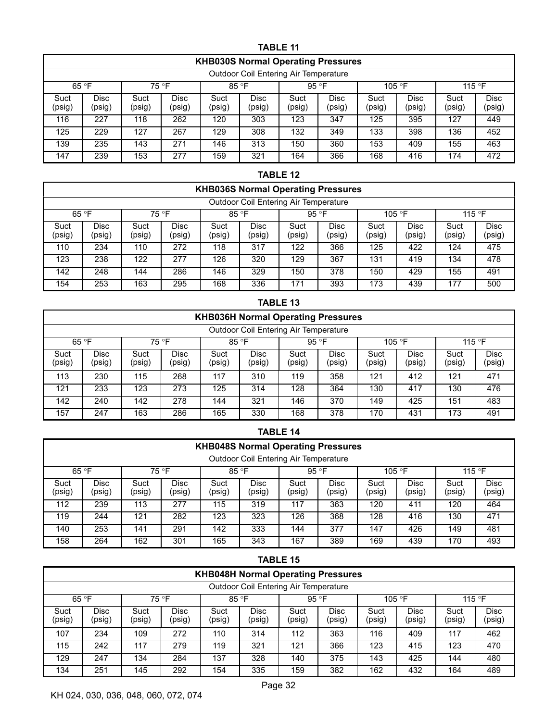|                | <b>TABLE 11</b>                                      |                |                |                |                |                |                       |                |                       |                |                       |  |  |  |  |
|----------------|------------------------------------------------------|----------------|----------------|----------------|----------------|----------------|-----------------------|----------------|-----------------------|----------------|-----------------------|--|--|--|--|
|                | <b>KHB030S Normal Operating Pressures</b>            |                |                |                |                |                |                       |                |                       |                |                       |  |  |  |  |
|                | Outdoor Coil Entering Air Temperature                |                |                |                |                |                |                       |                |                       |                |                       |  |  |  |  |
|                | 75 °F<br>85 °F<br>95 °F<br>65 °F<br>105 °F<br>115 °F |                |                |                |                |                |                       |                |                       |                |                       |  |  |  |  |
| Suct<br>(psig) | <b>Disc</b><br>(psig)                                | Suct<br>(psig) | Disc<br>(psig) | Suct<br>(psig) | Disc<br>(psig) | Suct<br>(psig) | <b>Disc</b><br>(psig) | Suct<br>(psig) | <b>Disc</b><br>(psig) | Suct<br>(psig) | <b>Disc</b><br>(psig) |  |  |  |  |
| 116            | 227                                                  | 118            | 262            | 120            | 303            | 123            | 347                   | 125            | 395                   | 127            | 449                   |  |  |  |  |
| 125            | 229                                                  | 127            | 267            | 129            | 308            | 132            | 349                   | 133            | 398                   | 136            | 452                   |  |  |  |  |
| 139            | 235                                                  | 143            | 271            | 146            | 313            | 150            | 360                   | 153            | 409                   | 155            | 463                   |  |  |  |  |
| 147            | 239                                                  | 153            | 277            | 159            | 321            | 164            | 366                   | 168            | 416                   | 174            | 472                   |  |  |  |  |

#### **TABLE 12**

|                | <b>KHB036S Normal Operating Pressures</b>            |                |                       |                |                       |                |                |                |                       |                |                |  |  |  |
|----------------|------------------------------------------------------|----------------|-----------------------|----------------|-----------------------|----------------|----------------|----------------|-----------------------|----------------|----------------|--|--|--|
|                | <b>Outdoor Coil Entering Air Temperature</b>         |                |                       |                |                       |                |                |                |                       |                |                |  |  |  |
|                | 65 °F<br>75 °F<br>85 °F<br>95 °F<br>105 °F<br>115 °F |                |                       |                |                       |                |                |                |                       |                |                |  |  |  |
| Suct<br>(psig) | Disc<br>(psig)                                       | Suct<br>(psig) | <b>Disc</b><br>(psig) | Suct<br>(psig) | <b>Disc</b><br>(psig) | Suct<br>(psig) | Disc<br>(psig) | Suct<br>(psig) | <b>Disc</b><br>(psig) | Suct<br>(psig) | Disc<br>(psig) |  |  |  |
| 110            | 234                                                  | 110            | 272                   | 118            | 317                   | 122            | 366            | 125            | 422                   | 124            | 475            |  |  |  |
| 123            | 238                                                  | 122            | 277                   | 126            | 320                   | 129            | 367            | 131            | 419                   | 134            | 478            |  |  |  |
| 142            | 248                                                  | 144            | 286                   | 146            | 329                   | 150            | 378            | 150            | 429                   | 155            | 491            |  |  |  |
| 154            | 253                                                  | 163            | 295                   | 168            | 336                   | 171            | 393            | 173            | 439                   | 177            | 500            |  |  |  |

#### **TABLE 13**

|                                                               | <b>KHB036H Normal Operating Pressures</b> |                |                |                |                       |                |                |                |                       |                |                |  |  |  |
|---------------------------------------------------------------|-------------------------------------------|----------------|----------------|----------------|-----------------------|----------------|----------------|----------------|-----------------------|----------------|----------------|--|--|--|
|                                                               | Outdoor Coil Entering Air Temperature     |                |                |                |                       |                |                |                |                       |                |                |  |  |  |
| 65 °F<br>75 °F<br>85 °F<br>95 °F<br>105 $\degree$ F<br>115 °F |                                           |                |                |                |                       |                |                |                |                       |                |                |  |  |  |
| Suct<br>(psig)                                                | <b>Disc</b><br>(psig)                     | Suct<br>(psig) | Disc<br>(psig) | Suct<br>(psig) | <b>Disc</b><br>(psig) | Suct<br>(psig) | Disc<br>(psig) | Suct<br>(psig) | <b>Disc</b><br>(psig) | Suct<br>(psig) | Disc<br>(psig) |  |  |  |
| 113                                                           | 230                                       | 115            | 268            | 117            | 310                   | 119            | 358            | 121            | 412                   | 121            | 471            |  |  |  |
| 121                                                           | 233                                       | 123            | 273            | 125            | 314                   | 128            | 364            | 130            | 417                   | 130            | 476            |  |  |  |
| 142                                                           | 240                                       | 142            | 278            | 144            | 321                   | 146            | 370            | 149            | 425                   | 151            | 483            |  |  |  |
| 157                                                           | 247                                       | 163            | 286            | 165            | 330                   | 168            | 378            | 170            | 431                   | 173            | 491            |  |  |  |

|                | <b>TABLE 14</b>                                                           |                |                       |                |                       |                |                       |                |                       |                |                |  |  |  |
|----------------|---------------------------------------------------------------------------|----------------|-----------------------|----------------|-----------------------|----------------|-----------------------|----------------|-----------------------|----------------|----------------|--|--|--|
|                | <b>KHB048S Normal Operating Pressures</b>                                 |                |                       |                |                       |                |                       |                |                       |                |                |  |  |  |
|                | Outdoor Coil Entering Air Temperature                                     |                |                       |                |                       |                |                       |                |                       |                |                |  |  |  |
|                | 75 °F<br>65 °F<br>85 °F<br>95 °F<br>105 °F<br>115 °F                      |                |                       |                |                       |                |                       |                |                       |                |                |  |  |  |
| Suct<br>(psig) | Disc<br>(psig)                                                            | Suct<br>(psig) | <b>Disc</b><br>(psig) | Suct<br>(psig) | <b>Disc</b><br>(psig) | Suct<br>(psig) | <b>Disc</b><br>(psig) | Suct<br>(psig) | <b>Disc</b><br>(psig) | Suct<br>(psig) | Disc<br>(psig) |  |  |  |
| 112            | 239                                                                       | 113            | 277                   | 115            | 319                   | 117            | 363                   | 120            | 411                   | 120            | 464            |  |  |  |
| 119            | 244                                                                       | 121            | 282                   | 123            | 323                   | 126            | 368                   | 128            | 416                   | 130            | 471            |  |  |  |
| 140            | 333<br>377<br>253<br>291<br>481<br>141<br>142<br>147<br>426<br>149<br>144 |                |                       |                |                       |                |                       |                |                       |                |                |  |  |  |
| 158            | 264                                                                       | 162            | 301                   | 165            | 343                   | 167            | 389                   | 169            | 439                   | 170            | 493            |  |  |  |

#### **TABLE 15 KHB048H Normal Operating Pressures** Outdoor Coil Entering Air Temperature 65 °F | 75 °F | 85 °F | 95 °F | 105 °F | 115 °F **Suct** (psig) Disc (psig) **Suct** (psig) Disc (psig) **Suct** (psig) Disc (psig) **Suct** (psig) Disc (psig) **Suct** (psig) Disc (psig) **Suct** (psig) Disc (psig) 107 | 234 | 109 | 272 | 110 | 314 | 112 | 363 | 116 | 409 | 117 | 462 115 | 242 | 117 | 279 | 119 | 321 | 121 | 366 | 123 | 415 | 123 | 470 129 | 247 | 134 | 284 | 137 | 328 | 140 | 375 | 143 | 425 | 144 | 480 134 | 251 | 145 | 292 | 154 | 335 | 159 | 382 | 162 | 432 | 164 | 489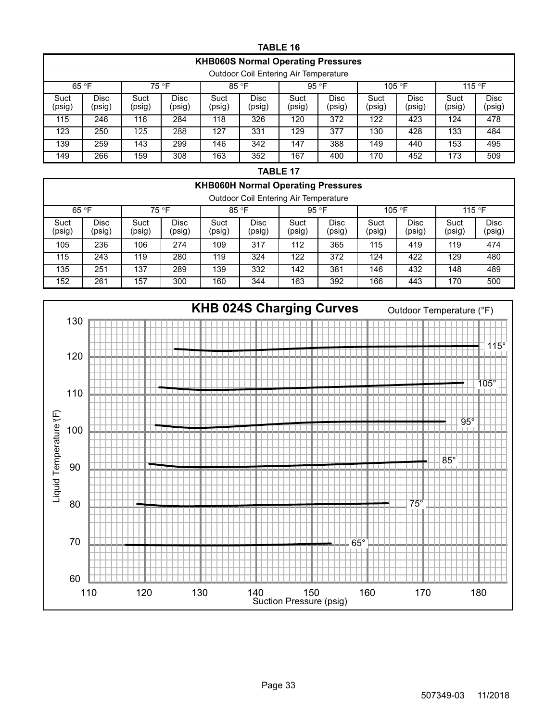<span id="page-32-0"></span>

|                                       | <b>TABLE 16</b>                                      |                |                       |                |                       |                |                       |                |                       |                |                       |
|---------------------------------------|------------------------------------------------------|----------------|-----------------------|----------------|-----------------------|----------------|-----------------------|----------------|-----------------------|----------------|-----------------------|
|                                       | <b>KHB060S Normal Operating Pressures</b>            |                |                       |                |                       |                |                       |                |                       |                |                       |
| Outdoor Coil Entering Air Temperature |                                                      |                |                       |                |                       |                |                       |                |                       |                |                       |
|                                       | 75 °F<br>85 °F<br>95 °F<br>65 °F<br>105 °F<br>115 °F |                |                       |                |                       |                |                       |                |                       |                |                       |
| Suct<br>(psig)                        | <b>Disc</b><br>(psig)                                | Suct<br>(psig) | <b>Disc</b><br>(psig) | Suct<br>(psig) | <b>Disc</b><br>(psig) | Suct<br>(psig) | <b>Disc</b><br>(psig) | Suct<br>(psig) | <b>Disc</b><br>(psig) | Suct<br>(psig) | <b>Disc</b><br>(psig) |
| 115                                   | 246                                                  | 116            | 284                   | 118            | 326                   | 120            | 372                   | 122            | 423                   | 124            | 478                   |
| 123                                   | 250                                                  | 125            | 288                   | 127            | 331                   | 129            | 377                   | 130            | 428                   | 133            | 484                   |
| 139                                   | 259                                                  | 143            | 299                   | 146            | 342                   | 147            | 388                   | 149            | 440                   | 153            | 495                   |
| 149                                   | 266                                                  | 159            | 308                   | 163            | 352                   | 167            | 400                   | 170            | 452                   | 173            | 509                   |

| Ρ<br>2 I<br>۱ο<br>. .<br>ب∟ا |  |
|------------------------------|--|
|------------------------------|--|

|                | <b>KHB060H Normal Operating Pressures</b>    |                |                       |                |                       |                |                 |                |                 |                |                |
|----------------|----------------------------------------------|----------------|-----------------------|----------------|-----------------------|----------------|-----------------|----------------|-----------------|----------------|----------------|
|                | <b>Outdoor Coil Entering Air Temperature</b> |                |                       |                |                       |                |                 |                |                 |                |                |
| 65 °F<br>75 °F |                                              |                | 85 °F                 |                | 95 °F                 |                | 105 $\degree$ F |                | 115 $\degree$ F |                |                |
| Suct<br>(psig) | Disc<br>(psig)                               | Suct<br>(psig) | <b>Disc</b><br>(psig) | Suct<br>(psig) | <b>Disc</b><br>(psig) | Suct<br>(psig) | Disc<br>(psig)  | Suct<br>(psig) | Disc<br>(psig)  | Suct<br>(psig) | Disc<br>(psig) |
| 105            | 236                                          | 106            | 274                   | 109            | 317                   | 112            | 365             | 115            | 419             | 119            | 474            |
| 115            | 243                                          | 119            | 280                   | 119            | 324                   | 122            | 372             | 124            | 422             | 129            | 480            |
| 135            | 251                                          | 137            | 289                   | 139            | 332                   | 142            | 381             | 146            | 432             | 148            | 489            |
| 152            | 261                                          | 157            | 300                   | 160            | 344                   | 163            | 392             | 166            | 443             | 170            | 500            |

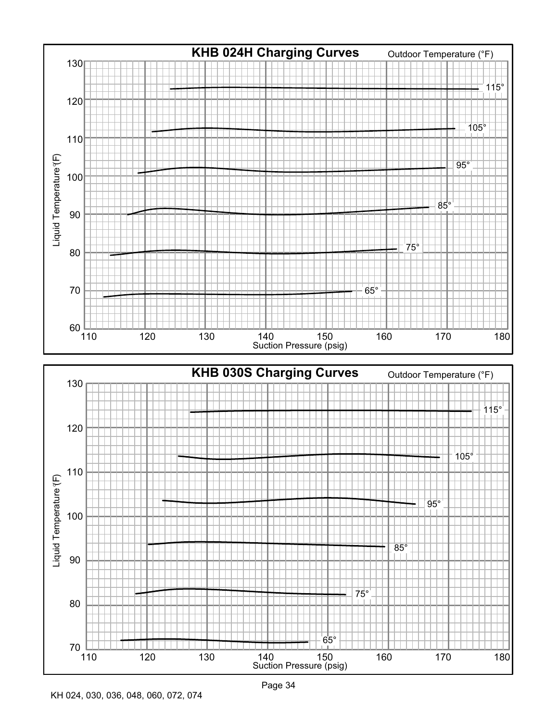

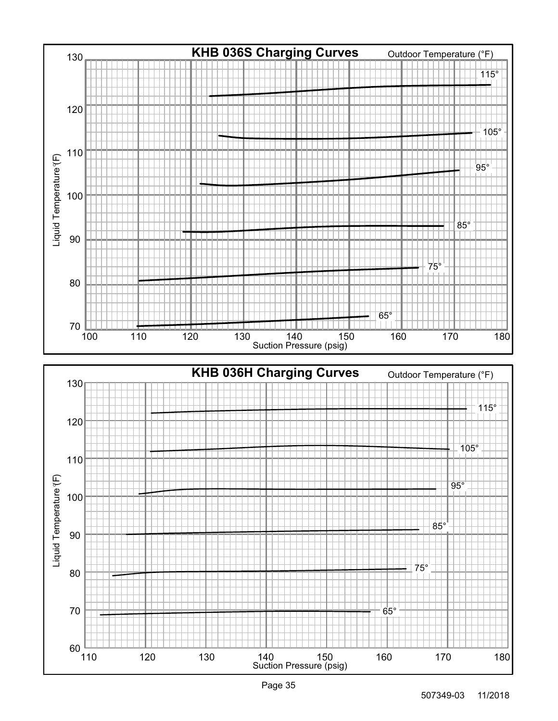

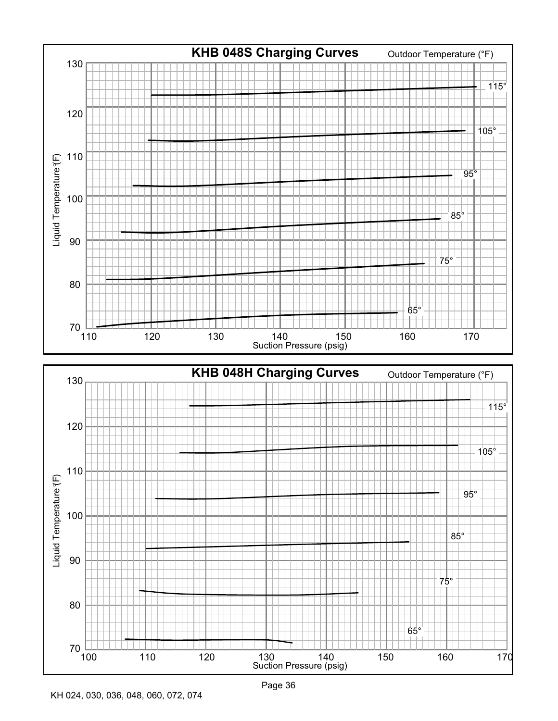

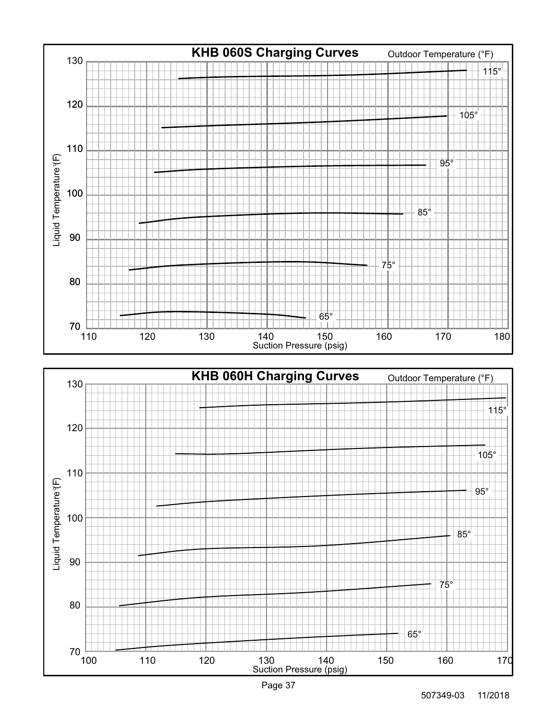

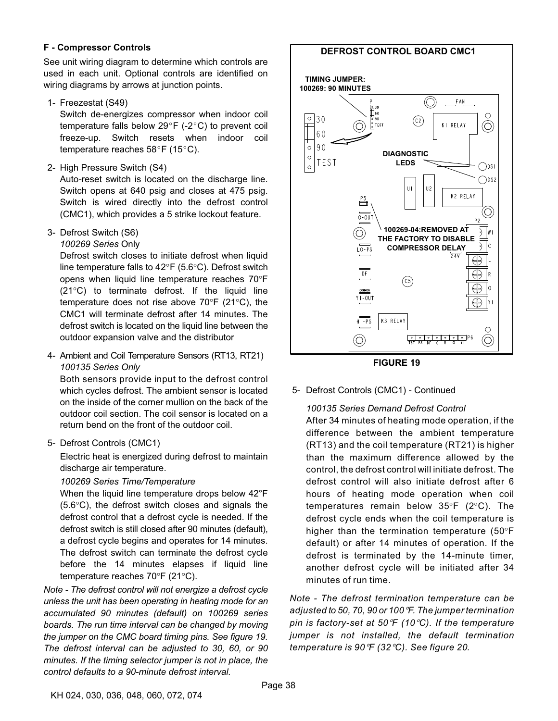#### **F - Compressor Controls**

See unit wiring diagram to determine which controls are used in each unit. Optional controls are identified on wiring diagrams by arrows at junction points.

1- Freezestat (S49)

Switch de-energizes compressor when indoor coil temperature falls below  $29^{\circ}F$  (-2 $^{\circ}C$ ) to prevent coil freeze-up. Switch resets when indoor coil temperature reaches  $58^{\circ}$ F (15°C).

2- High Pressure Switch (S4)

Auto-reset switch is located on the discharge line. Switch opens at 640 psig and closes at 475 psig. Switch is wired directly into the defrost control (CMC1), which provides a 5 strike lockout feature.

3- Defrost Switch (S6)

*100269 Series* Only

Defrost switch closes to initiate defrost when liquid line temperature falls to 42°F (5.6°C). Defrost switch opens when liquid line temperature reaches 70°F (21°C) to terminate defrost. If the liquid line temperature does not rise above 70°F (21°C), the CMC1 will terminate defrost after 14 minutes. The defrost switch is located on the liquid line between the outdoor expansion valve and the distributor

4- Ambient and Coil Temperature Sensors (RT13, RT21) *100135 Series Only*

Both sensors provide input to the defrost control which cycles defrost. The ambient sensor is located on the inside of the corner mullion on the back of the outdoor coil section. The coil sensor is located on a return bend on the front of the outdoor coil.

5- Defrost Controls (CMC1)

Electric heat is energized during defrost to maintain discharge air temperature.

#### *100269 Series Time/Temperature*

When the liquid line temperature drops below 42°F (5.6°C), the defrost switch closes and signals the defrost control that a defrost cycle is needed. If the defrost switch is still closed after 90 minutes (default), a defrost cycle begins and operates for 14 minutes. The defrost switch can terminate the defrost cycle before the 14 minutes elapses if liquid line temperature reaches 70°F (21°C).

*Note - The defrost control will not energize a defrost cycle unless the unit has been operating in heating mode for an accumulated 90 minutes (default) on 100269 series boards. The run time interval can be changed by moving the jumper on the CMC board timing pins. See figure 19. The defrost interval can be adjusted to 30, 60, or 90 minutes. If the timing selector jumper is not in place, the control defaults to a 90-minute defrost interval.*

#### **DEFROST CONTROL BOARD CMC1**





5- Defrost Controls (CMC1) - Continued

#### *100135 Series Demand Defrost Control*

After 34 minutes of heating mode operation, if the difference between the ambient temperature (RT13) and the coil temperature (RT21) is higher than the maximum difference allowed by the control, the defrost control will initiate defrost. The defrost control will also initiate defrost after 6 hours of heating mode operation when coil temperatures remain below 35°F (2°C). The defrost cycle ends when the coil temperature is higher than the termination temperature (50°F default) or after 14 minutes of operation. If the defrost is terminated by the 14-minute timer, another defrost cycle will be initiated after 34 minutes of run time.

*Note - The defrost termination temperature can be Aote - The defrost termination temperature can be*<br>*adjusted to 50, 70, 90 or 100 °F. The jumper termination*<br>*pin is factory-set at 50 °F (10* °C). If the temperature pin is factory-set at 50°F (10°C). If the temperature *jumper is not installed, the default termination<br><i>temperature* is 90°F (32°C). See*figure* 20. *C). See figure [20.](#page-38-0)*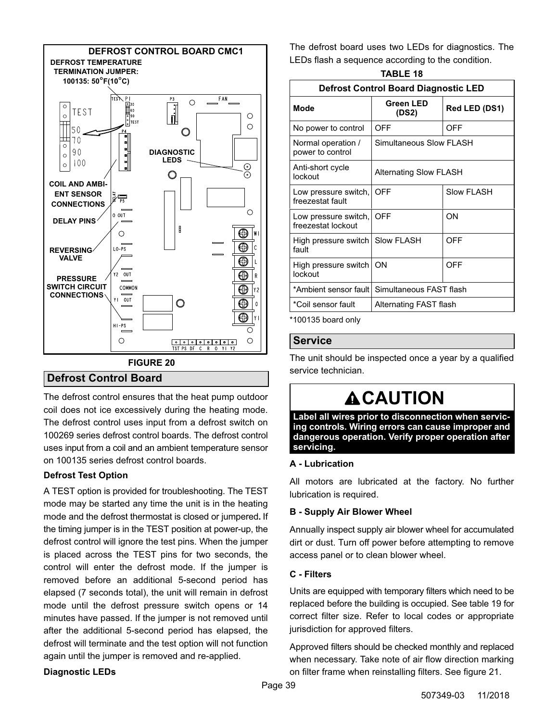<span id="page-38-0"></span>

#### **Defrost Control Board**

The defrost control ensures that the heat pump outdoor coil does not ice excessively during the heating mode. The defrost control uses input from a defrost switch on 100269 series defrost control boards. The defrost control uses input from a coil and an ambient temperature sensor on 100135 series defrost control boards.

#### **Defrost Test Option**

A TEST option is provided for troubleshooting. The TEST mode may be started any time the unit is in the heating mode and the defrost thermostat is closed or jumpered**.** If the timing jumper is in the TEST position at power‐up, the defrost control will ignore the test pins. When the jumper is placed across the TEST pins for two seconds, the control will enter the defrost mode. If the jumper is removed before an additional 5-second period has elapsed (7 seconds total), the unit will remain in defrost mode until the defrost pressure switch opens or 14 minutes have passed. If the jumper is not removed until after the additional 5-second period has elapsed, the defrost will terminate and the test option will not function again until the jumper is removed and re-applied.

#### **Diagnostic LEDs**

The defrost board uses two LEDs for diagnostics. The LEDs flash a sequence according to the condition.

| <b>TABLE 18</b>                                  |                               |                   |  |  |  |  |
|--------------------------------------------------|-------------------------------|-------------------|--|--|--|--|
| <b>Defrost Control Board Diagnostic LED</b>      |                               |                   |  |  |  |  |
| Mode                                             | <b>Green LED</b><br>(DS2)     | Red LED (DS1)     |  |  |  |  |
| No power to control                              | OFF                           | OFF               |  |  |  |  |
| Normal operation /<br>power to control           | Simultaneous Slow FLASH       |                   |  |  |  |  |
| Anti-short cycle<br>lockout                      | <b>Alternating Slow FLASH</b> |                   |  |  |  |  |
| Low pressure switch,<br>freezestat fault         | OFF                           | <b>Slow FLASH</b> |  |  |  |  |
| Low pressure switch,<br>freezestat lockout       | OFF                           | ON                |  |  |  |  |
| High pressure switch   Slow FLASH<br>fault       |                               | OFF               |  |  |  |  |
| High pressure switch<br>lockout                  | ON                            | OFF               |  |  |  |  |
| Simultaneous FAST flash<br>*Ambient sensor fault |                               |                   |  |  |  |  |
| *Coil sensor fault                               | Alternating FAST flash        |                   |  |  |  |  |
| *100135 board only                               |                               |                   |  |  |  |  |

#### **Service**

The unit should be inspected once a year by a qualified service technician.

# **ACAUTION**

**Label all wires prior to disconnection when servicing controls. Wiring errors can cause improper and dangerous operation. Verify proper operation after servicing.**

#### **A - Lubrication**

All motors are lubricated at the factory. No further lubrication is required.

#### **B - Supply Air Blower Wheel**

Annually inspect supply air blower wheel for accumulated dirt or dust. Turn off power before attempting to remove access panel or to clean blower wheel.

#### **C - Filters**

Units are equipped with temporary filters which need to be replaced before the building is occupied. See table [19](#page-39-0) for correct filter size. Refer to local codes or appropriate jurisdiction for approved filters.

Approved filters should be checked monthly and replaced when necessary. Take note of air flow direction marking on filter frame when reinstalling filters. See figure [21.](#page-39-0)